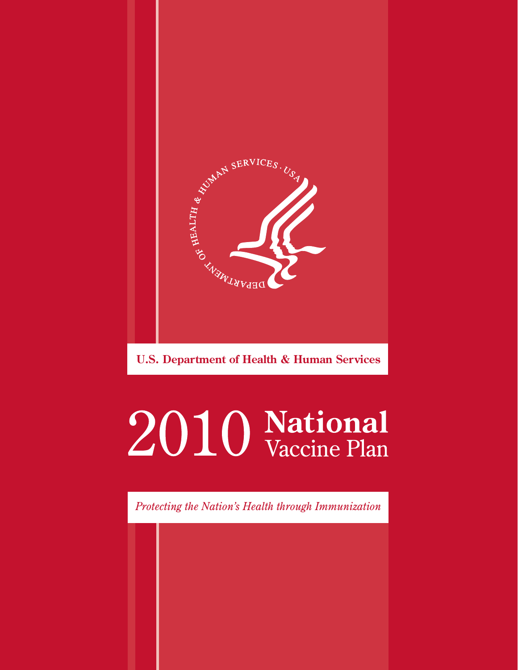

**U.S. Department of Health & Human Services**

# 2010 National

*Protecting the Nation's Health through Immunization*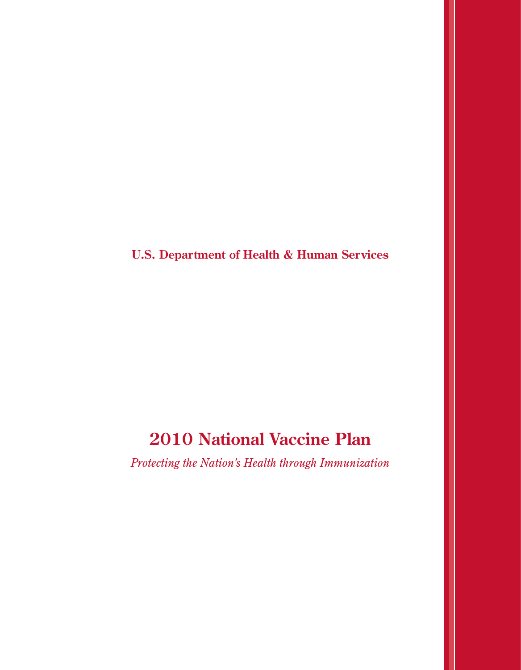**U.S. Department of Health & Human Services**

# **2010 National Vaccine Plan**

*Protecting the Nation's Health through Immunization*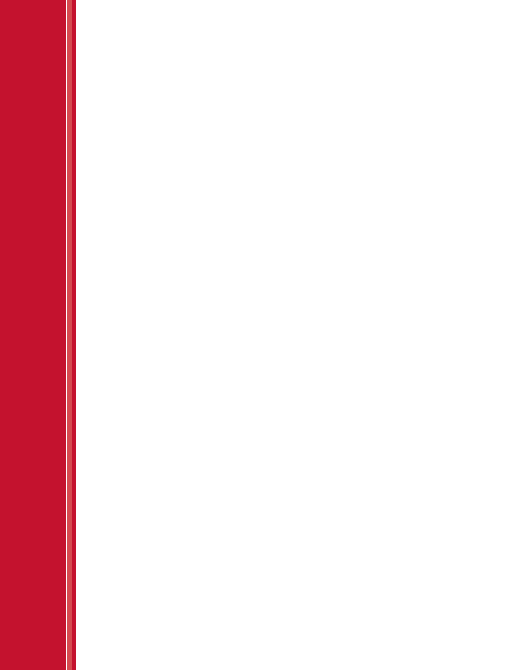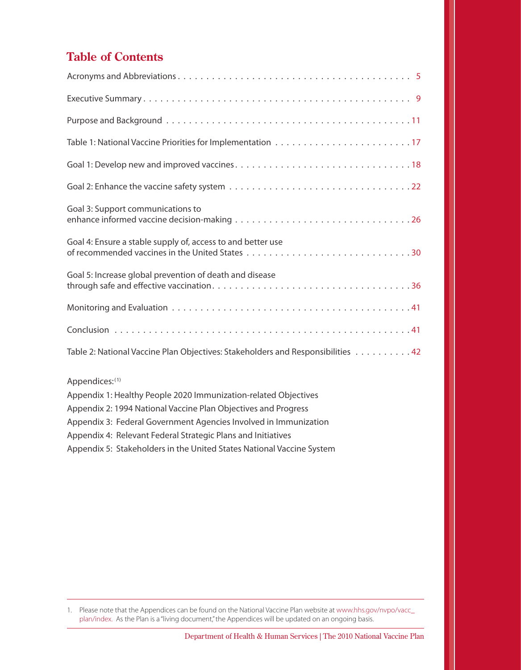# **Table of Contents**

| Goal 3: Support communications to                                                             |
|-----------------------------------------------------------------------------------------------|
| Goal 4: Ensure a stable supply of, access to and better use                                   |
| Goal 5: Increase global prevention of death and disease                                       |
|                                                                                               |
|                                                                                               |
| Table 2: National Vaccine Plan Objectives: Stakeholders and Responsibilities 42               |
| Appendices: <sup>(1)</sup><br>Appendix 1: Healthy People 2020 Immunization-related Objectives |

Appendix 2: 1994 National Vaccine Plan Objectives and Progress

Appendix 4: Relevant Federal Strategic Plans and Initiatives

Appendix 3: Federal Government Agencies Involved in Immunization

Appendix 5: Stakeholders in the United States National Vaccine System

<sup>1.</sup> Please note that the Appendices can be found on the National Vaccine Plan website at www.hhs.gov/nvpo/vacc\_ plan/index. As the Plan is a "living document," the Appendices will be updated on an ongoing basis.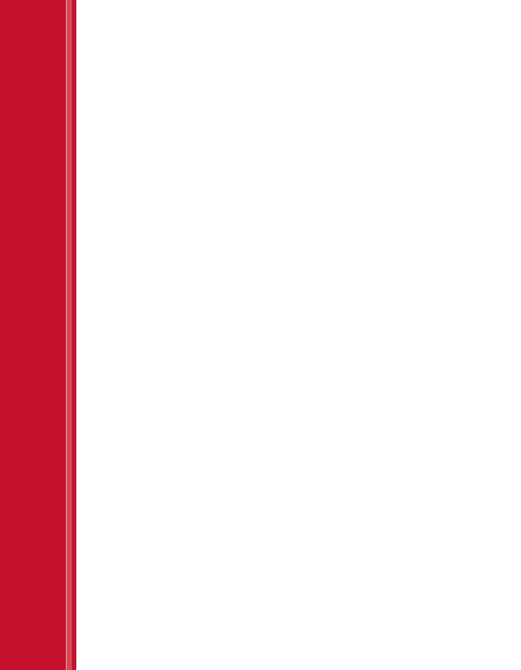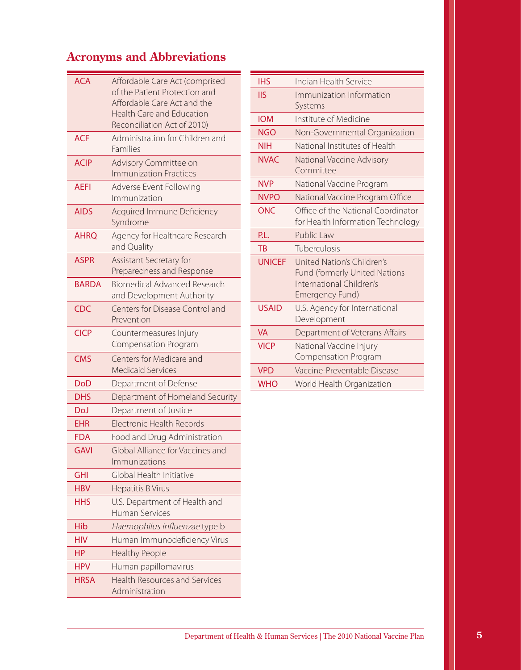# **Acronyms and Abbreviations**

| <b>ACA</b>   | Affordable Care Act (comprised<br>of the Patient Protection and<br>Affordable Care Act and the<br><b>Health Care and Education</b><br>Reconciliation Act of 2010) |
|--------------|-------------------------------------------------------------------------------------------------------------------------------------------------------------------|
| <b>ACF</b>   | Administration for Children and<br>Families                                                                                                                       |
| <b>ACIP</b>  | Advisory Committee on<br><b>Immunization Practices</b>                                                                                                            |
| <b>AEFI</b>  | Adverse Event Following<br>Immunization                                                                                                                           |
| <b>AIDS</b>  | Acquired Immune Deficiency<br>Syndrome                                                                                                                            |
| <b>AHRQ</b>  | Agency for Healthcare Research<br>and Quality                                                                                                                     |
| <b>ASPR</b>  | Assistant Secretary for<br>Preparedness and Response                                                                                                              |
| <b>BARDA</b> | <b>Biomedical Advanced Research</b><br>and Development Authority                                                                                                  |
| <b>CDC</b>   | Centers for Disease Control and<br>Prevention                                                                                                                     |
| <b>CICP</b>  | Countermeasures Injury<br>Compensation Program                                                                                                                    |
| <b>CMS</b>   | Centers for Medicare and<br><b>Medicaid Services</b>                                                                                                              |
| <b>DoD</b>   | Department of Defense                                                                                                                                             |
| <b>DHS</b>   | Department of Homeland Security                                                                                                                                   |
| DoJ          | Department of Justice                                                                                                                                             |
| <b>EHR</b>   | Electronic Health Records                                                                                                                                         |
| <b>FDA</b>   | Food and Drug Administration                                                                                                                                      |
| <b>GAVI</b>  | Global Alliance for Vaccines and<br>Immunizations                                                                                                                 |
| <b>GHI</b>   | Global Health Initiative                                                                                                                                          |
| <b>HBV</b>   | <b>Hepatitis B Virus</b>                                                                                                                                          |
| <b>HHS</b>   | U.S. Department of Health and<br><b>Human Services</b>                                                                                                            |
| Hib          | Haemophilus influenzae type b                                                                                                                                     |
| <b>HIV</b>   | Human Immunodeficiency Virus                                                                                                                                      |
| <b>HP</b>    | <b>Healthy People</b>                                                                                                                                             |
| <b>HPV</b>   | Human papillomavirus                                                                                                                                              |
| <b>HRSA</b>  | <b>Health Resources and Services</b><br>Administration                                                                                                            |

| <b>IHS</b>    | Indian Health Service                                                                                      |
|---------------|------------------------------------------------------------------------------------------------------------|
| <b>IIS</b>    | Immunization Information<br>Systems                                                                        |
| <b>IOM</b>    | Institute of Medicine                                                                                      |
| <b>NGO</b>    | Non-Governmental Organization                                                                              |
| <b>NIH</b>    | National Institutes of Health                                                                              |
| <b>NVAC</b>   | National Vaccine Advisory<br>Committee                                                                     |
| <b>NVP</b>    | National Vaccine Program                                                                                   |
| <b>NVPO</b>   | National Vaccine Program Office                                                                            |
| <b>ONC</b>    | Office of the National Coordinator<br>for Health Information Technology                                    |
| P.L.          | <b>Public Law</b>                                                                                          |
| <b>TB</b>     | Tuberculosis                                                                                               |
| <b>UNICEF</b> | United Nation's Children's<br>Fund (formerly United Nations<br>International Children's<br>Emergency Fund) |
| <b>USAID</b>  | U.S. Agency for International<br>Development                                                               |
| <b>VA</b>     | Department of Veterans Affairs                                                                             |
| <b>VICP</b>   | National Vaccine Injury<br>Compensation Program                                                            |
| <b>VPD</b>    | Vaccine-Preventable Disease                                                                                |
| <b>WHO</b>    | World Health Organization                                                                                  |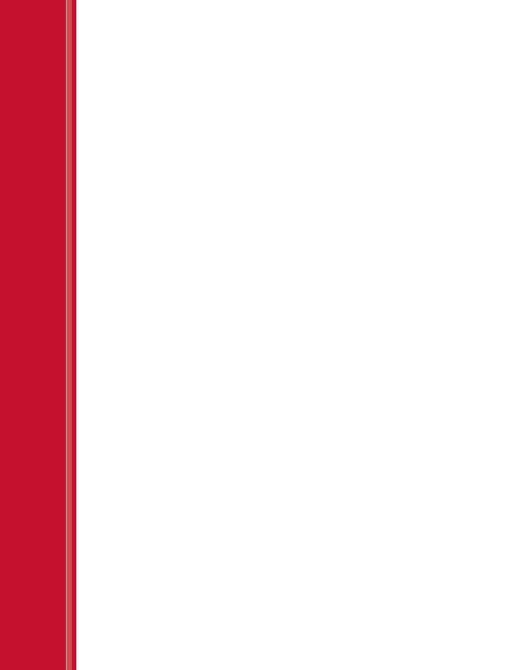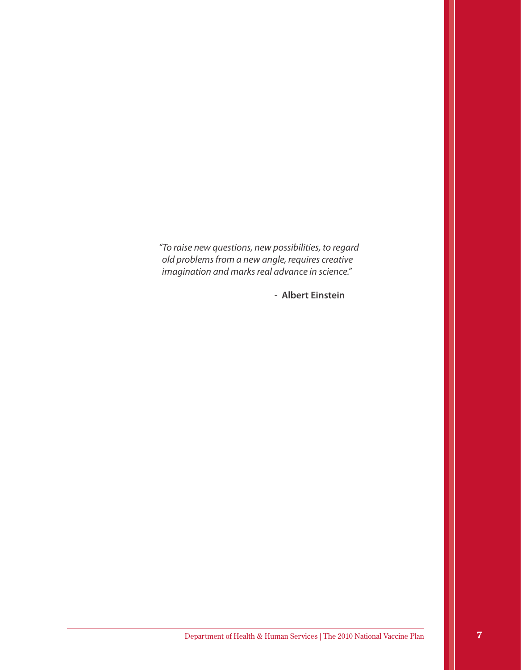*"To raise new questions, new possibilities, to regard old problems from a new angle, requires creative imagination and marks real advance in science."*

**- Albert Einstein**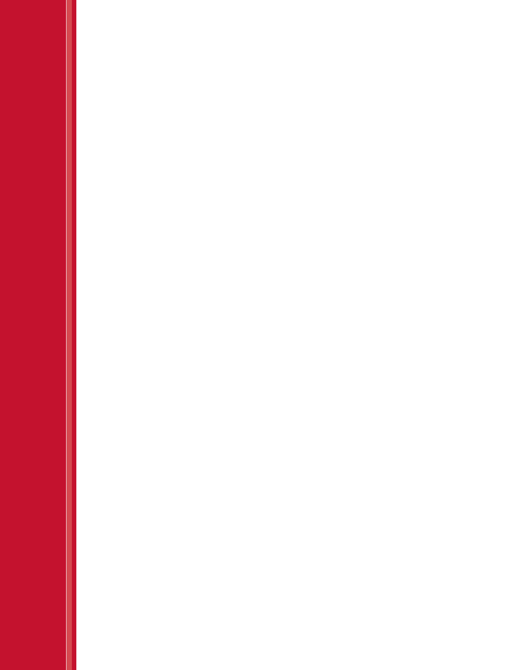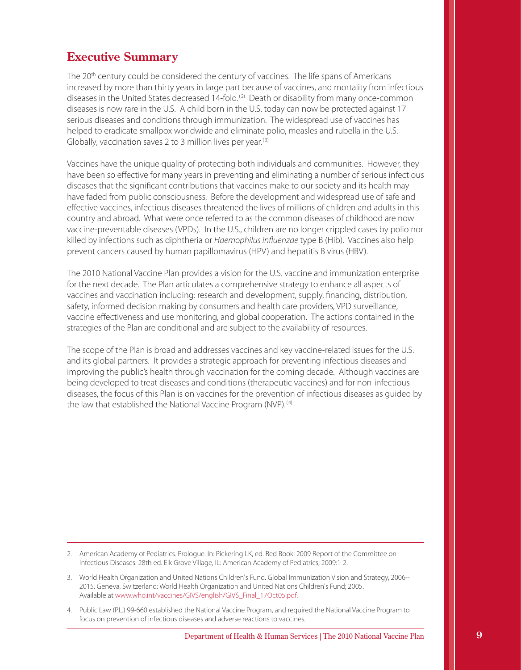# **Executive Summary**

The 20<sup>th</sup> century could be considered the century of vaccines. The life spans of Americans increased by more than thirty years in large part because of vaccines, and mortality from infectious diseases in the United States decreased 14-fold.<sup>(2)</sup> Death or disability from many once-common diseases is now rare in the U.S. A child born in the U.S. today can now be protected against 17 serious diseases and conditions through immunization. The widespread use of vaccines has helped to eradicate smallpox worldwide and eliminate polio, measles and rubella in the U.S. Globally, vaccination saves 2 to 3 million lives per year.<sup>(3)</sup>

Vaccines have the unique quality of protecting both individuals and communities. However, they have been so effective for many years in preventing and eliminating a number of serious infectious diseases that the significant contributions that vaccines make to our society and its health may have faded from public consciousness. Before the development and widespread use of safe and effective vaccines, infectious diseases threatened the lives of millions of children and adults in this country and abroad. What were once referred to as the common diseases of childhood are now vaccine-preventable diseases (VPDs). In the U.S., children are no longer crippled cases by polio nor killed by infections such as diphtheria or *Haemophilus influenzae* type B (Hib). Vaccines also help prevent cancers caused by human papillomavirus (HPV) and hepatitis B virus (HBV).

The 2010 National Vaccine Plan provides a vision for the U.S. vaccine and immunization enterprise for the next decade. The Plan articulates a comprehensive strategy to enhance all aspects of vaccines and vaccination including: research and development, supply, financing, distribution, safety, informed decision making by consumers and health care providers, VPD surveillance, vaccine effectiveness and use monitoring, and global cooperation. The actions contained in the strategies of the Plan are conditional and are subject to the availability of resources.

The scope of the Plan is broad and addresses vaccines and key vaccine-related issues for the U.S. and its global partners. It provides a strategic approach for preventing infectious diseases and improving the public's health through vaccination for the coming decade. Although vaccines are being developed to treat diseases and conditions (therapeutic vaccines) and for non-infectious diseases, the focus of this Plan is on vaccines for the prevention of infectious diseases as guided by the law that established the National Vaccine Program (NVP).<sup>(4)</sup>

- 2. American Academy of Pediatrics. Prologue. In: Pickering LK, ed. Red Book: 2009 Report of the Committee on Infectious Diseases. 28th ed. Elk Grove Village, IL: American Academy of Pediatrics; 2009:1-2.
- 3. World Health Organization and United Nations Children's Fund. Global Immunization Vision and Strategy, 2006--2015. Geneva, Switzerland: World Health Organization and United Nations Children's Fund; 2005. Available at www.who.int/vaccines/GIVS/english/GIVS\_Final\_17Oct05.pdf.
- 4. Public Law (P.L.) 99-660 established the National Vaccine Program, and required the National Vaccine Program to focus on prevention of infectious diseases and adverse reactions to vaccines.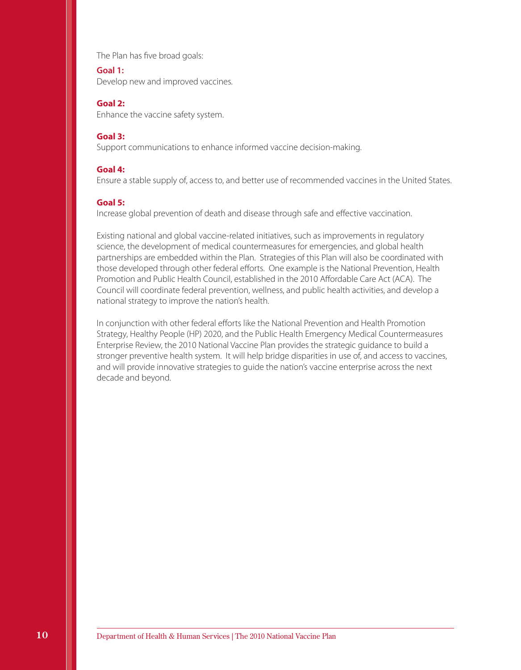The Plan has five broad goals:

#### **Goal 1:**

Develop new and improved vaccines.

#### **Goal 2:**

Enhance the vaccine safety system.

#### **Goal 3:**

Support communications to enhance informed vaccine decision-making.

#### **Goal 4:**

Ensure a stable supply of, access to, and better use of recommended vaccines in the United States.

#### **Goal 5:**

Increase global prevention of death and disease through safe and effective vaccination.

Existing national and global vaccine-related initiatives, such as improvements in regulatory science, the development of medical countermeasures for emergencies, and global health partnerships are embedded within the Plan. Strategies of this Plan will also be coordinated with those developed through other federal efforts. One example is the National Prevention, Health Promotion and Public Health Council, established in the 2010 Affordable Care Act (ACA). The Council will coordinate federal prevention, wellness, and public health activities, and develop a national strategy to improve the nation's health.

In conjunction with other federal efforts like the National Prevention and Health Promotion Strategy, Healthy People (HP) 2020, and the Public Health Emergency Medical Countermeasures Enterprise Review, the 2010 National Vaccine Plan provides the strategic guidance to build a stronger preventive health system. It will help bridge disparities in use of, and access to vaccines, and will provide innovative strategies to guide the nation's vaccine enterprise across the next decade and beyond.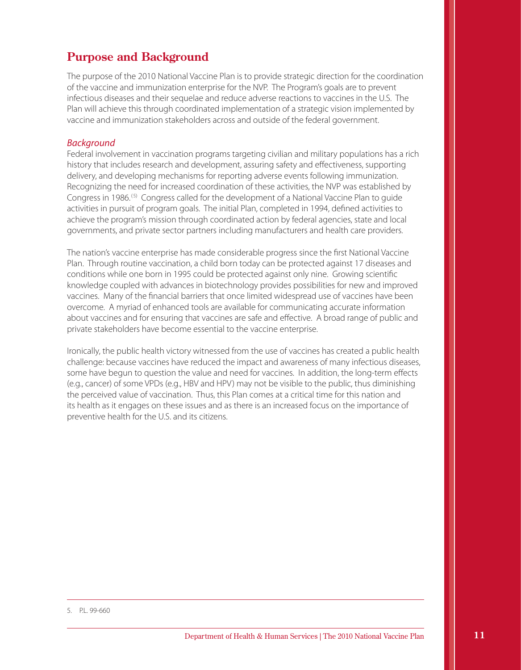# **Purpose and Background**

The purpose of the 2010 National Vaccine Plan is to provide strategic direction for the coordination of the vaccine and immunization enterprise for the NVP. The Program's goals are to prevent infectious diseases and their sequelae and reduce adverse reactions to vaccines in the U.S. The Plan will achieve this through coordinated implementation of a strategic vision implemented by vaccine and immunization stakeholders across and outside of the federal government.

#### *Background*

Federal involvement in vaccination programs targeting civilian and military populations has a rich history that includes research and development, assuring safety and effectiveness, supporting delivery, and developing mechanisms for reporting adverse events following immunization. Recognizing the need for increased coordination of these activities, the NVP was established by Congress in 1986.<sup>(5)</sup> Congress called for the development of a National Vaccine Plan to guide activities in pursuit of program goals. The initial Plan, completed in 1994, defined activities to achieve the program's mission through coordinated action by federal agencies, state and local governments, and private sector partners including manufacturers and health care providers.

The nation's vaccine enterprise has made considerable progress since the first National Vaccine Plan. Through routine vaccination, a child born today can be protected against 17 diseases and conditions while one born in 1995 could be protected against only nine. Growing scientific knowledge coupled with advances in biotechnology provides possibilities for new and improved vaccines. Many of the financial barriers that once limited widespread use of vaccines have been overcome. A myriad of enhanced tools are available for communicating accurate information about vaccines and for ensuring that vaccines are safe and effective. A broad range of public and private stakeholders have become essential to the vaccine enterprise.

Ironically, the public health victory witnessed from the use of vaccines has created a public health challenge: because vaccines have reduced the impact and awareness of many infectious diseases, some have begun to question the value and need for vaccines. In addition, the long-term effects (e.g., cancer) of some VPDs (e.g., HBV and HPV) may not be visible to the public, thus diminishing the perceived value of vaccination. Thus, this Plan comes at a critical time for this nation and its health as it engages on these issues and as there is an increased focus on the importance of preventive health for the U.S. and its citizens.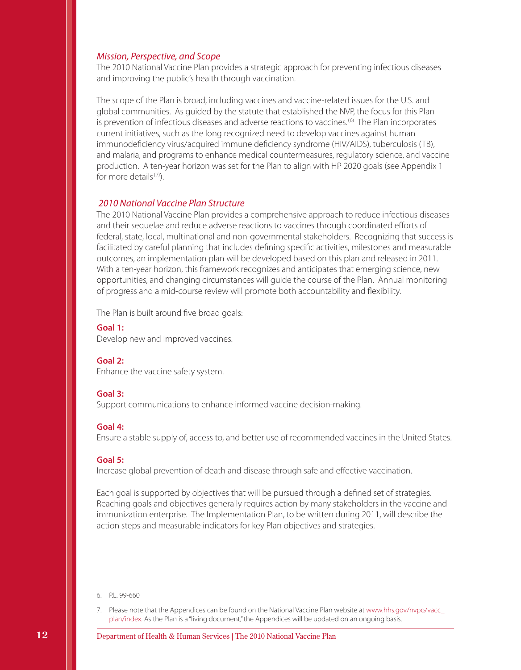#### *Mission, Perspective, and Scope*

The 2010 National Vaccine Plan provides a strategic approach for preventing infectious diseases and improving the public's health through vaccination.

The scope of the Plan is broad, including vaccines and vaccine-related issues for the U.S. and global communities. As guided by the statute that established the NVP, the focus for this Plan is prevention of infectious diseases and adverse reactions to vaccines.<sup>(6)</sup> The Plan incorporates current initiatives, such as the long recognized need to develop vaccines against human immunodeficiency virus/acquired immune deficiency syndrome (HIV/AIDS), tuberculosis (TB), and malaria, and programs to enhance medical countermeasures, regulatory science, and vaccine production. A ten-year horizon was set for the Plan to align with HP 2020 goals (see Appendix 1 for more details $(7)$ .

#### *2010 National Vaccine Plan Structure*

The 2010 National Vaccine Plan provides a comprehensive approach to reduce infectious diseases and their sequelae and reduce adverse reactions to vaccines through coordinated efforts of federal, state, local, multinational and non-governmental stakeholders. Recognizing that success is facilitated by careful planning that includes defining specific activities, milestones and measurable outcomes, an implementation plan will be developed based on this plan and released in 2011. With a ten-year horizon, this framework recognizes and anticipates that emerging science, new opportunities, and changing circumstances will guide the course of the Plan. Annual monitoring of progress and a mid-course review will promote both accountability and flexibility.

The Plan is built around five broad goals:

# **Goal 1:**

Develop new and improved vaccines.

#### **Goal 2:**

Enhance the vaccine safety system.

#### **Goal 3:**

Support communications to enhance informed vaccine decision-making.

#### **Goal 4:**

Ensure a stable supply of, access to, and better use of recommended vaccines in the United States.

#### **Goal 5:**

Increase global prevention of death and disease through safe and effective vaccination.

Each goal is supported by objectives that will be pursued through a defined set of strategies. Reaching goals and objectives generally requires action by many stakeholders in the vaccine and immunization enterprise. The Implementation Plan, to be written during 2011, will describe the action steps and measurable indicators for key Plan objectives and strategies.

6. P.L. 99-660

<sup>7.</sup> Please note that the Appendices can be found on the National Vaccine Plan website at www.hhs.gov/nvpo/vacc\_ plan/index. As the Plan is a "living document," the Appendices will be updated on an ongoing basis.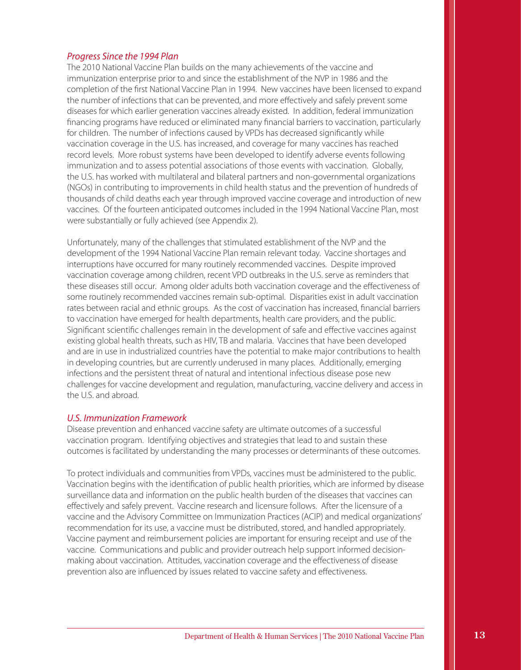# *Progress Since the 1994 Plan*

The 2010 National Vaccine Plan builds on the many achievements of the vaccine and immunization enterprise prior to and since the establishment of the NVP in 1986 and the completion of the first National Vaccine Plan in 1994. New vaccines have been licensed to expand the number of infections that can be prevented, and more effectively and safely prevent some diseases for which earlier generation vaccines already existed. In addition, federal immunization financing programs have reduced or eliminated many financial barriers to vaccination, particularly for children. The number of infections caused by VPDs has decreased significantly while vaccination coverage in the U.S. has increased, and coverage for many vaccines has reached record levels. More robust systems have been developed to identify adverse events following immunization and to assess potential associations of those events with vaccination. Globally, the U.S. has worked with multilateral and bilateral partners and non-governmental organizations (NGOs) in contributing to improvements in child health status and the prevention of hundreds of thousands of child deaths each year through improved vaccine coverage and introduction of new vaccines. Of the fourteen anticipated outcomes included in the 1994 National Vaccine Plan, most were substantially or fully achieved (see Appendix 2).

Unfortunately, many of the challenges that stimulated establishment of the NVP and the development of the 1994 National Vaccine Plan remain relevant today. Vaccine shortages and interruptions have occurred for many routinely recommended vaccines. Despite improved vaccination coverage among children, recent VPD outbreaks in the U.S. serve as reminders that these diseases still occur. Among older adults both vaccination coverage and the effectiveness of some routinely recommended vaccines remain sub-optimal. Disparities exist in adult vaccination rates between racial and ethnic groups. As the cost of vaccination has increased, financial barriers to vaccination have emerged for health departments, health care providers, and the public. Significant scientific challenges remain in the development of safe and effective vaccines against existing global health threats, such as HIV, TB and malaria. Vaccines that have been developed and are in use in industrialized countries have the potential to make major contributions to health in developing countries, but are currently underused in many places. Additionally, emerging infections and the persistent threat of natural and intentional infectious disease pose new challenges for vaccine development and regulation, manufacturing, vaccine delivery and access in the U.S. and abroad.

#### *U.S. Immunization Framework*

Disease prevention and enhanced vaccine safety are ultimate outcomes of a successful vaccination program. Identifying objectives and strategies that lead to and sustain these outcomes is facilitated by understanding the many processes or determinants of these outcomes.

To protect individuals and communities from VPDs, vaccines must be administered to the public. Vaccination begins with the identification of public health priorities, which are informed by disease surveillance data and information on the public health burden of the diseases that vaccines can effectively and safely prevent. Vaccine research and licensure follows. After the licensure of a vaccine and the Advisory Committee on Immunization Practices (ACIP) and medical organizations' recommendation for its use, a vaccine must be distributed, stored, and handled appropriately. Vaccine payment and reimbursement policies are important for ensuring receipt and use of the vaccine. Communications and public and provider outreach help support informed decisionmaking about vaccination. Attitudes, vaccination coverage and the effectiveness of disease prevention also are influenced by issues related to vaccine safety and effectiveness.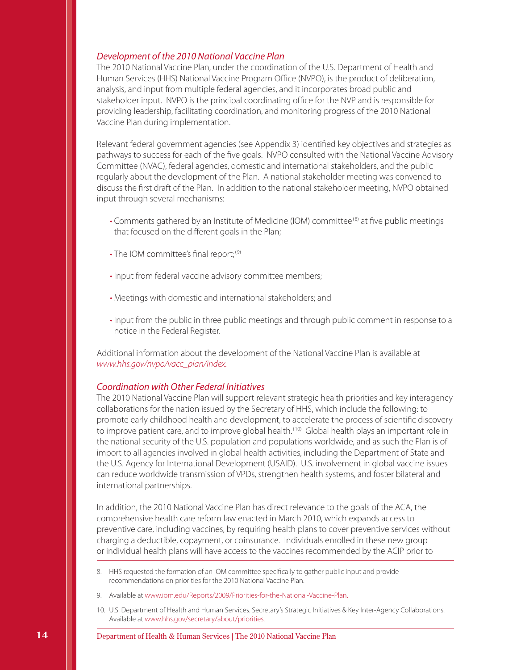#### *Development of the 2010 National Vaccine Plan*

The 2010 National Vaccine Plan, under the coordination of the U.S. Department of Health and Human Services (HHS) National Vaccine Program Office (NVPO), is the product of deliberation, analysis, and input from multiple federal agencies, and it incorporates broad public and stakeholder input. NVPO is the principal coordinating office for the NVP and is responsible for providing leadership, facilitating coordination, and monitoring progress of the 2010 National Vaccine Plan during implementation.

Relevant federal government agencies (see Appendix 3) identified key objectives and strategies as pathways to success for each of the five goals. NVPO consulted with the National Vaccine Advisory Committee (NVAC), federal agencies, domestic and international stakeholders, and the public regularly about the development of the Plan. A national stakeholder meeting was convened to discuss the first draft of the Plan. In addition to the national stakeholder meeting, NVPO obtained input through several mechanisms:

- Comments gathered by an Institute of Medicine (IOM) committee<sup>(8)</sup> at five public meetings that focused on the different goals in the Plan;
- $\cdot$  The IOM committee's final report;<sup>(9)</sup>
- Input from federal vaccine advisory committee members;
- Meetings with domestic and international stakeholders; and
- Input from the public in three public meetings and through public comment in response to a notice in the Federal Register.

Additional information about the development of the National Vaccine Plan is available at *www.hhs.gov/nvpo/vacc\_plan/index.*

#### *Coordination with Other Federal Initiatives*

The 2010 National Vaccine Plan will support relevant strategic health priorities and key interagency collaborations for the nation issued by the Secretary of HHS, which include the following: to promote early childhood health and development, to accelerate the process of scientific discovery to improve patient care, and to improve global health.<sup>(10)</sup> Global health plays an important role in the national security of the U.S. population and populations worldwide, and as such the Plan is of import to all agencies involved in global health activities, including the Department of State and the U.S. Agency for International Development (USAID). U.S. involvement in global vaccine issues can reduce worldwide transmission of VPDs, strengthen health systems, and foster bilateral and international partnerships.

In addition, the 2010 National Vaccine Plan has direct relevance to the goals of the ACA, the comprehensive health care reform law enacted in March 2010, which expands access to preventive care, including vaccines, by requiring health plans to cover preventive services without charging a deductible, copayment, or coinsurance. Individuals enrolled in these new group or individual health plans will have access to the vaccines recommended by the ACIP prior to

- 9. Available at www.iom.edu/Reports/2009/Priorities-for-the-National-Vaccine-Plan.
- 10. U.S. Department of Health and Human Services. Secretary's Strategic Initiatives & Key Inter-Agency Collaborations. Available at www.hhs.gov/secretary/about/priorities.

<sup>8.</sup> HHS requested the formation of an IOM committee specifically to gather public input and provide recommendations on priorities for the 2010 National Vaccine Plan.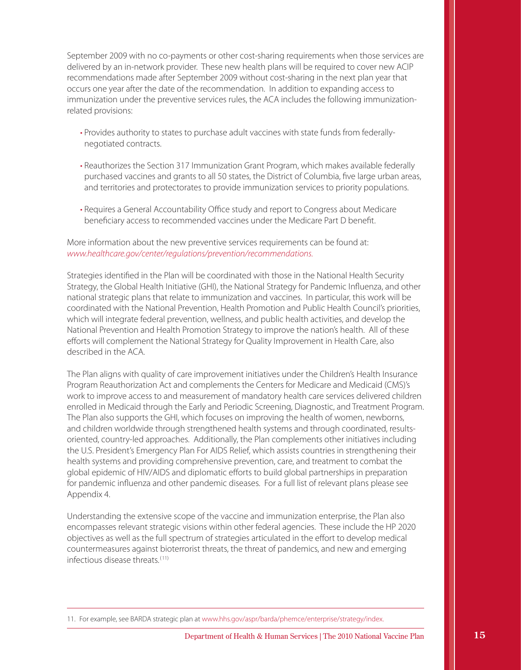September 2009 with no co-payments or other cost-sharing requirements when those services are delivered by an in-network provider. These new health plans will be required to cover new ACIP recommendations made after September 2009 without cost-sharing in the next plan year that occurs one year after the date of the recommendation. In addition to expanding access to immunization under the preventive services rules, the ACA includes the following immunizationrelated provisions:

- Provides authority to states to purchase adult vaccines with state funds from federallynegotiated contracts.
- • Reauthorizes the Section 317 Immunization Grant Program, which makes available federally purchased vaccines and grants to all 50 states, the District of Columbia, five large urban areas, and territories and protectorates to provide immunization services to priority populations.
- • Requires a General Accountability Office study and report to Congress about Medicare beneficiary access to recommended vaccines under the Medicare Part D benefit.

More information about the new preventive services requirements can be found at: *www.healthcare.gov/center/regulations/prevention/recommendations.* 

Strategies identified in the Plan will be coordinated with those in the National Health Security Strategy, the Global Health Initiative (GHI), the National Strategy for Pandemic Influenza, and other national strategic plans that relate to immunization and vaccines. In particular, this work will be coordinated with the National Prevention, Health Promotion and Public Health Council's priorities, which will integrate federal prevention, wellness, and public health activities, and develop the National Prevention and Health Promotion Strategy to improve the nation's health. All of these efforts will complement the National Strategy for Quality Improvement in Health Care, also described in the ACA.

The Plan aligns with quality of care improvement initiatives under the Children's Health Insurance Program Reauthorization Act and complements the Centers for Medicare and Medicaid (CMS)'s work to improve access to and measurement of mandatory health care services delivered children enrolled in Medicaid through the Early and Periodic Screening, Diagnostic, and Treatment Program. The Plan also supports the GHI, which focuses on improving the health of women, newborns, and children worldwide through strengthened health systems and through coordinated, resultsoriented, country-led approaches. Additionally, the Plan complements other initiatives including the U.S. President's Emergency Plan For AIDS Relief, which assists countries in strengthening their health systems and providing comprehensive prevention, care, and treatment to combat the global epidemic of HIV/AIDS and diplomatic efforts to build global partnerships in preparation for pandemic influenza and other pandemic diseases. For a full list of relevant plans please see Appendix 4.

Understanding the extensive scope of the vaccine and immunization enterprise, the Plan also encompasses relevant strategic visions within other federal agencies. These include the HP 2020 objectives as well as the full spectrum of strategies articulated in the effort to develop medical countermeasures against bioterrorist threats, the threat of pandemics, and new and emerging infectious disease threats.<sup>(11)</sup>

<sup>11.</sup> For example, see BARDA strategic plan at www.hhs.gov/aspr/barda/phemce/enterprise/strategy/index.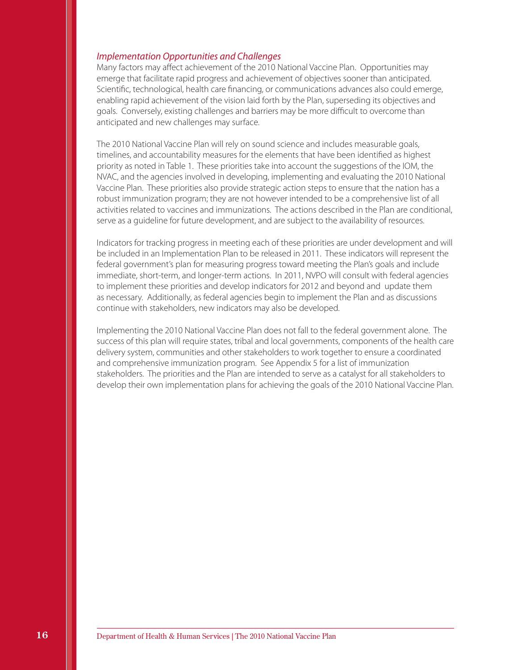#### *Implementation Opportunities and Challenges*

Many factors may affect achievement of the 2010 National Vaccine Plan. Opportunities may emerge that facilitate rapid progress and achievement of objectives sooner than anticipated. Scientific, technological, health care financing, or communications advances also could emerge, enabling rapid achievement of the vision laid forth by the Plan, superseding its objectives and goals. Conversely, existing challenges and barriers may be more difficult to overcome than anticipated and new challenges may surface.

The 2010 National Vaccine Plan will rely on sound science and includes measurable goals, timelines, and accountability measures for the elements that have been identified as highest priority as noted in Table 1. These priorities take into account the suggestions of the IOM, the NVAC, and the agencies involved in developing, implementing and evaluating the 2010 National Vaccine Plan. These priorities also provide strategic action steps to ensure that the nation has a robust immunization program; they are not however intended to be a comprehensive list of all activities related to vaccines and immunizations. The actions described in the Plan are conditional, serve as a guideline for future development, and are subject to the availability of resources.

Indicators for tracking progress in meeting each of these priorities are under development and will be included in an Implementation Plan to be released in 2011. These indicators will represent the federal government's plan for measuring progress toward meeting the Plan's goals and include immediate, short-term, and longer-term actions. In 2011, NVPO will consult with federal agencies to implement these priorities and develop indicators for 2012 and beyond and update them as necessary. Additionally, as federal agencies begin to implement the Plan and as discussions continue with stakeholders, new indicators may also be developed.

Implementing the 2010 National Vaccine Plan does not fall to the federal government alone. The success of this plan will require states, tribal and local governments, components of the health care delivery system, communities and other stakeholders to work together to ensure a coordinated and comprehensive immunization program. See Appendix 5 for a list of immunization stakeholders. The priorities and the Plan are intended to serve as a catalyst for all stakeholders to develop their own implementation plans for achieving the goals of the 2010 National Vaccine Plan.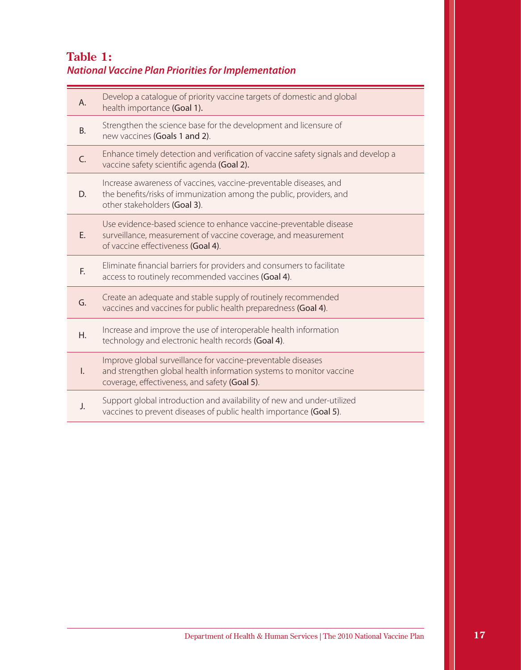# **Table 1:** *National Vaccine Plan Priorities for Implementation*

| Α.             | Develop a catalogue of priority vaccine targets of domestic and global<br>health importance (Goal 1).                                                                                |
|----------------|--------------------------------------------------------------------------------------------------------------------------------------------------------------------------------------|
| <b>B.</b>      | Strengthen the science base for the development and licensure of<br>new vaccines (Goals 1 and 2).                                                                                    |
| C.             | Enhance timely detection and verification of vaccine safety signals and develop a<br>vaccine safety scientific agenda (Goal 2).                                                      |
| D.             | Increase awareness of vaccines, vaccine-preventable diseases, and<br>the benefits/risks of immunization among the public, providers, and<br>other stakeholders (Goal 3).             |
| Ε.             | Use evidence-based science to enhance vaccine-preventable disease<br>surveillance, measurement of vaccine coverage, and measurement<br>of vaccine effectiveness (Goal 4).            |
| F.             | Eliminate financial barriers for providers and consumers to facilitate<br>access to routinely recommended vaccines (Goal 4).                                                         |
| G.             | Create an adequate and stable supply of routinely recommended<br>vaccines and vaccines for public health preparedness (Goal 4).                                                      |
| Η.             | Increase and improve the use of interoperable health information<br>technology and electronic health records (Goal 4).                                                               |
| $\mathsf{I}$ . | Improve global surveillance for vaccine-preventable diseases<br>and strengthen global health information systems to monitor vaccine<br>coverage, effectiveness, and safety (Goal 5). |
| J.             | Support global introduction and availability of new and under-utilized<br>vaccines to prevent diseases of public health importance (Goal 5).                                         |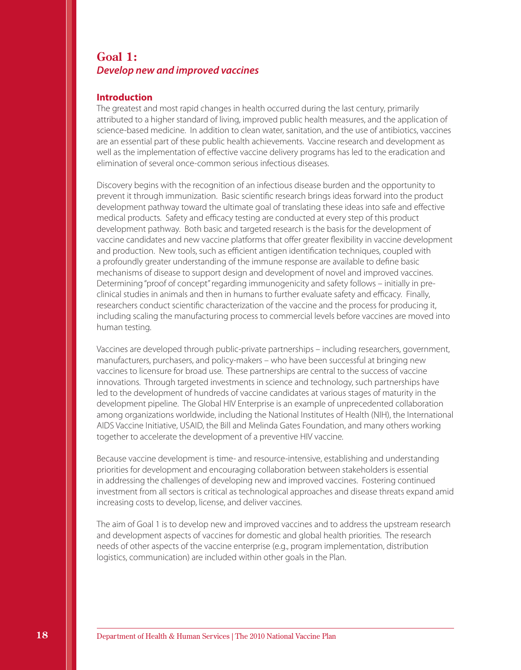# **Goal 1:** *Develop new and improved vaccines*

#### **Introduction**

The greatest and most rapid changes in health occurred during the last century, primarily attributed to a higher standard of living, improved public health measures, and the application of science-based medicine. In addition to clean water, sanitation, and the use of antibiotics, vaccines are an essential part of these public health achievements. Vaccine research and development as well as the implementation of effective vaccine delivery programs has led to the eradication and elimination of several once-common serious infectious diseases.

Discovery begins with the recognition of an infectious disease burden and the opportunity to prevent it through immunization. Basic scientific research brings ideas forward into the product development pathway toward the ultimate goal of translating these ideas into safe and effective medical products. Safety and efficacy testing are conducted at every step of this product development pathway. Both basic and targeted research is the basis for the development of vaccine candidates and new vaccine platforms that offer greater flexibility in vaccine development and production. New tools, such as efficient antigen identification techniques, coupled with a profoundly greater understanding of the immune response are available to define basic mechanisms of disease to support design and development of novel and improved vaccines. Determining "proof of concept" regarding immunogenicity and safety follows – initially in preclinical studies in animals and then in humans to further evaluate safety and efficacy. Finally, researchers conduct scientific characterization of the vaccine and the process for producing it, including scaling the manufacturing process to commercial levels before vaccines are moved into human testing.

Vaccines are developed through public-private partnerships – including researchers, government, manufacturers, purchasers, and policy-makers – who have been successful at bringing new vaccines to licensure for broad use. These partnerships are central to the success of vaccine innovations. Through targeted investments in science and technology, such partnerships have led to the development of hundreds of vaccine candidates at various stages of maturity in the development pipeline. The Global HIV Enterprise is an example of unprecedented collaboration among organizations worldwide, including the National Institutes of Health (NIH), the International AIDS Vaccine Initiative, USAID, the Bill and Melinda Gates Foundation, and many others working together to accelerate the development of a preventive HIV vaccine.

Because vaccine development is time- and resource-intensive, establishing and understanding priorities for development and encouraging collaboration between stakeholders is essential in addressing the challenges of developing new and improved vaccines. Fostering continued investment from all sectors is critical as technological approaches and disease threats expand amid increasing costs to develop, license, and deliver vaccines.

The aim of Goal 1 is to develop new and improved vaccines and to address the upstream research and development aspects of vaccines for domestic and global health priorities. The research needs of other aspects of the vaccine enterprise (e.g., program implementation, distribution logistics, communication) are included within other goals in the Plan.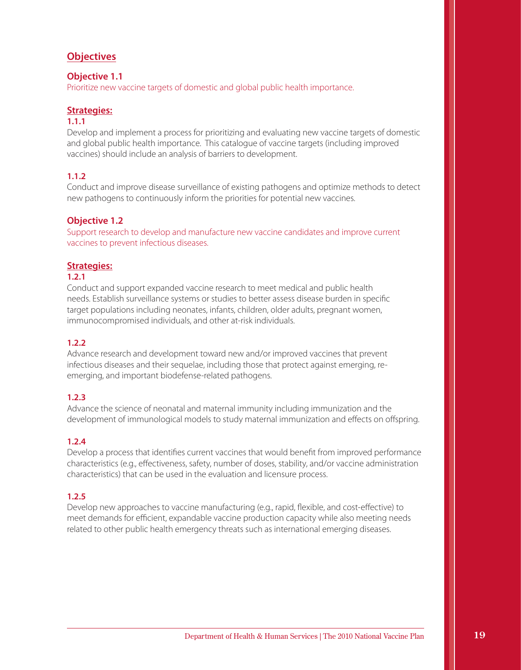# **Objectives**

# **Objective 1.1**

Prioritize new vaccine targets of domestic and global public health importance.

# **Strategies:**

# **1.1.1**

Develop and implement a process for prioritizing and evaluating new vaccine targets of domestic and global public health importance. This catalogue of vaccine targets (including improved vaccines) should include an analysis of barriers to development.

# **1.1.2**

Conduct and improve disease surveillance of existing pathogens and optimize methods to detect new pathogens to continuously inform the priorities for potential new vaccines.

# **Objective 1.2**

Support research to develop and manufacture new vaccine candidates and improve current vaccines to prevent infectious diseases.

# **Strategies:**

# **1.2.1**

Conduct and support expanded vaccine research to meet medical and public health needs. Establish surveillance systems or studies to better assess disease burden in specific target populations including neonates, infants, children, older adults, pregnant women, immunocompromised individuals, and other at-risk individuals.

# **1.2.2**

Advance research and development toward new and/or improved vaccines that prevent infectious diseases and their sequelae, including those that protect against emerging, reemerging, and important biodefense-related pathogens.

# **1.2.3**

Advance the science of neonatal and maternal immunity including immunization and the development of immunological models to study maternal immunization and effects on offspring.

# **1.2.4**

Develop a process that identifies current vaccines that would benefit from improved performance characteristics (e.g., effectiveness, safety, number of doses, stability, and/or vaccine administration characteristics) that can be used in the evaluation and licensure process.

# **1.2.5**

Develop new approaches to vaccine manufacturing (e.g., rapid, flexible, and cost-effective) to meet demands for efficient, expandable vaccine production capacity while also meeting needs related to other public health emergency threats such as international emerging diseases.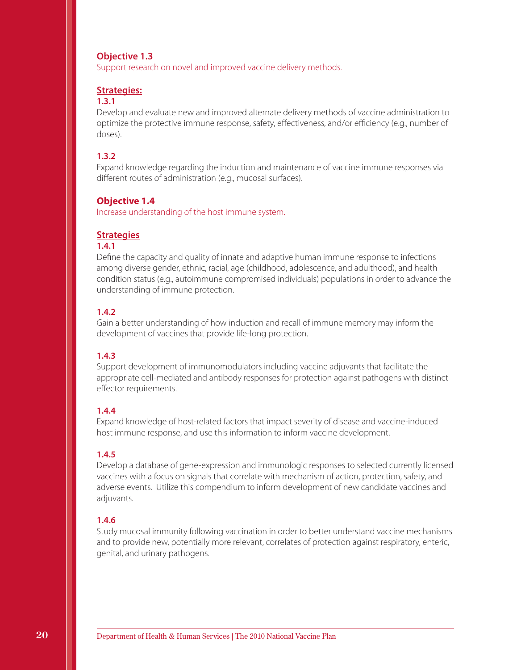#### **Objective 1.3**

Support research on novel and improved vaccine delivery methods.

# **Strategies:**

# **1.3.1**

Develop and evaluate new and improved alternate delivery methods of vaccine administration to optimize the protective immune response, safety, effectiveness, and/or efficiency (e.g., number of doses).

# **1.3.2**

Expand knowledge regarding the induction and maintenance of vaccine immune responses via different routes of administration (e.g., mucosal surfaces).

# **Objective 1.4**

Increase understanding of the host immune system.

# **Strategies**

# **1.4.1**

Define the capacity and quality of innate and adaptive human immune response to infections among diverse gender, ethnic, racial, age (childhood, adolescence, and adulthood), and health condition status (e.g., autoimmune compromised individuals) populations in order to advance the understanding of immune protection.

# **1.4.2**

Gain a better understanding of how induction and recall of immune memory may inform the development of vaccines that provide life-long protection.

#### **1.4.3**

Support development of immunomodulators including vaccine adjuvants that facilitate the appropriate cell-mediated and antibody responses for protection against pathogens with distinct effector requirements.

#### **1.4.4**

Expand knowledge of host-related factors that impact severity of disease and vaccine-induced host immune response, and use this information to inform vaccine development.

#### **1.4.5**

Develop a database of gene-expression and immunologic responses to selected currently licensed vaccines with a focus on signals that correlate with mechanism of action, protection, safety, and adverse events. Utilize this compendium to inform development of new candidate vaccines and adjuvants.

#### **1.4.6**

Study mucosal immunity following vaccination in order to better understand vaccine mechanisms and to provide new, potentially more relevant, correlates of protection against respiratory, enteric, genital, and urinary pathogens.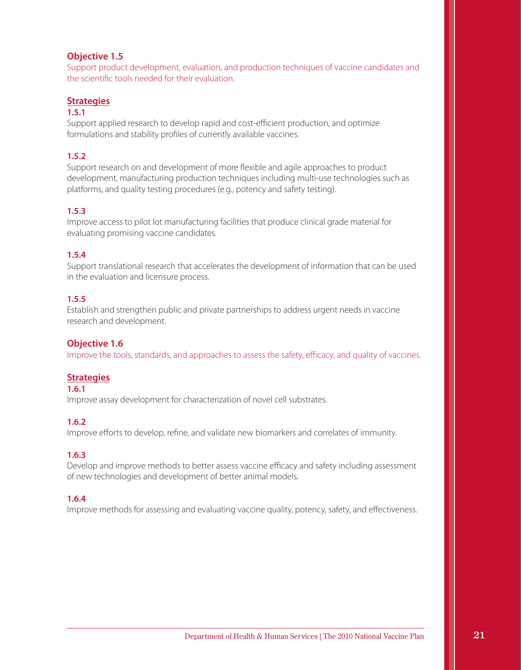# **Objective 1.5**

Support product development, evaluation, and production techniques of vaccine candidates and the scientific tools needed for their evaluation.

# **Strategies**

# **1.5.1**

Support applied research to develop rapid and cost-efficient production, and optimize formulations and stability profiles of currently available vaccines.

# **1.5.2**

Support research on and development of more flexible and agile approaches to product development, manufacturing production techniques including multi-use technologies such as platforms, and quality testing procedures (e.g., potency and safety testing).

# **1.5.3**

Improve access to pilot lot manufacturing facilities that produce clinical grade material for evaluating promising vaccine candidates.

# **1.5.4**

Support translational research that accelerates the development of information that can be used in the evaluation and licensure process.

# **1.5.5**

Establish and strengthen public and private partnerships to address urgent needs in vaccine research and development.

# **Objective 1.6**

Improve the tools, standards, and approaches to assess the safety, efficacy, and quality of vaccines.

# **Strategies**

# **1.6.1**

Improve assay development for characterization of novel cell substrates.

#### **1.6.2**

Improve efforts to develop, refine, and validate new biomarkers and correlates of immunity.

#### **1.6.3**

Develop and improve methods to better assess vaccine efficacy and safety including assessment of new technologies and development of better animal models.

#### **1.6.4**

Improve methods for assessing and evaluating vaccine quality, potency, safety, and effectiveness.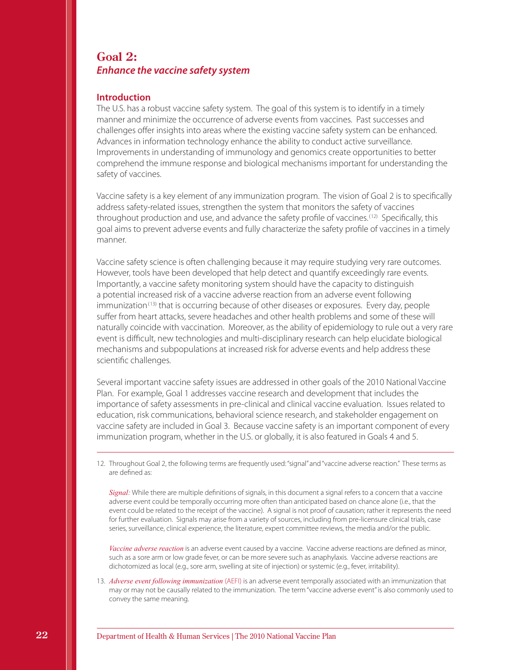# **Goal 2:** *Enhance the vaccine safety system*

#### **Introduction**

The U.S. has a robust vaccine safety system. The goal of this system is to identify in a timely manner and minimize the occurrence of adverse events from vaccines. Past successes and challenges offer insights into areas where the existing vaccine safety system can be enhanced. Advances in information technology enhance the ability to conduct active surveillance. Improvements in understanding of immunology and genomics create opportunities to better comprehend the immune response and biological mechanisms important for understanding the safety of vaccines.

Vaccine safety is a key element of any immunization program. The vision of Goal 2 is to specifically address safety-related issues, strengthen the system that monitors the safety of vaccines throughout production and use, and advance the safety profile of vaccines.<sup>(12)</sup> Specifically, this goal aims to prevent adverse events and fully characterize the safety profile of vaccines in a timely manner.

Vaccine safety science is often challenging because it may require studying very rare outcomes. However, tools have been developed that help detect and quantify exceedingly rare events. Importantly, a vaccine safety monitoring system should have the capacity to distinguish a potential increased risk of a vaccine adverse reaction from an adverse event following immunization<sup>(13)</sup> that is occurring because of other diseases or exposures. Every day, people suffer from heart attacks, severe headaches and other health problems and some of these will naturally coincide with vaccination. Moreover, as the ability of epidemiology to rule out a very rare event is difficult, new technologies and multi-disciplinary research can help elucidate biological mechanisms and subpopulations at increased risk for adverse events and help address these scientific challenges.

Several important vaccine safety issues are addressed in other goals of the 2010 National Vaccine Plan. For example, Goal 1 addresses vaccine research and development that includes the importance of safety assessments in pre-clinical and clinical vaccine evaluation. Issues related to education, risk communications, behavioral science research, and stakeholder engagement on vaccine safety are included in Goal 3. Because vaccine safety is an important component of every immunization program, whether in the U.S. or globally, it is also featured in Goals 4 and 5.

12. Throughout Goal 2, the following terms are frequently used: "signal" and "vaccine adverse reaction." These terms as are defined as:

*Signal:* While there are multiple definitions of signals, in this document a signal refers to a concern that a vaccine adverse event could be temporally occurring more often than anticipated based on chance alone (i.e., that the event could be related to the receipt of the vaccine). A signal is not proof of causation; rather it represents the need for further evaluation. Signals may arise from a variety of sources, including from pre-licensure clinical trials, case series, surveillance, clinical experience, the literature, expert committee reviews, the media and/or the public.

*Vaccine adverse reaction* is an adverse event caused by a vaccine. Vaccine adverse reactions are defined as minor, such as a sore arm or low grade fever, or can be more severe such as anaphylaxis. Vaccine adverse reactions are dichotomized as local (e.g., sore arm, swelling at site of injection) or systemic (e.g., fever, irritability).

13. *Adverse event following immunization* (AEFI) is an adverse event temporally associated with an immunization that may or may not be causally related to the immunization. The term"vaccine adverse event"is also commonly used to convey the same meaning.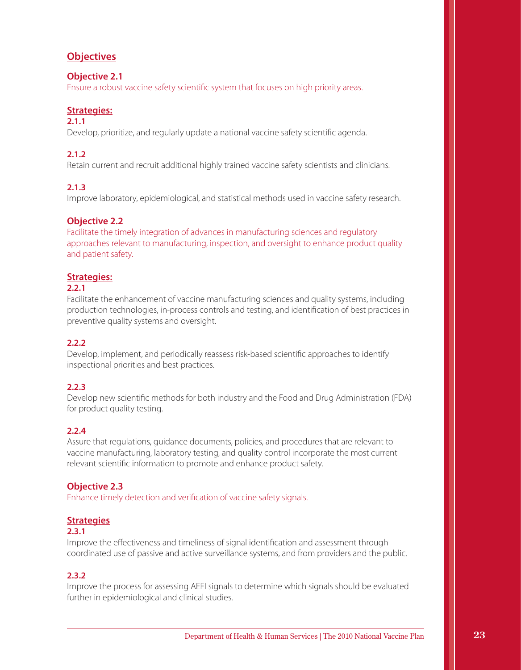# **Objectives**

# **Objective 2.1**

Ensure a robust vaccine safety scientific system that focuses on high priority areas.

# **Strategies:**

#### **2.1.1**

Develop, prioritize, and regularly update a national vaccine safety scientific agenda.

# **2.1.2**

Retain current and recruit additional highly trained vaccine safety scientists and clinicians.

# **2.1.3**

Improve laboratory, epidemiological, and statistical methods used in vaccine safety research.

# **Objective 2.2**

Facilitate the timely integration of advances in manufacturing sciences and regulatory approaches relevant to manufacturing, inspection, and oversight to enhance product quality and patient safety.

# **Strategies:**

#### **2.2.1**

Facilitate the enhancement of vaccine manufacturing sciences and quality systems, including production technologies, in-process controls and testing, and identification of best practices in preventive quality systems and oversight.

#### **2.2.2**

Develop, implement, and periodically reassess risk-based scientific approaches to identify inspectional priorities and best practices.

#### **2.2.3**

Develop new scientific methods for both industry and the Food and Drug Administration (FDA) for product quality testing.

#### **2.2.4**

Assure that regulations, guidance documents, policies, and procedures that are relevant to vaccine manufacturing, laboratory testing, and quality control incorporate the most current relevant scientific information to promote and enhance product safety.

#### **Objective 2.3**

Enhance timely detection and verification of vaccine safety signals.

# **Strategies**

#### **2.3.1**

Improve the effectiveness and timeliness of signal identification and assessment through coordinated use of passive and active surveillance systems, and from providers and the public.

#### **2.3.2**

Improve the process for assessing AEFI signals to determine which signals should be evaluated further in epidemiological and clinical studies.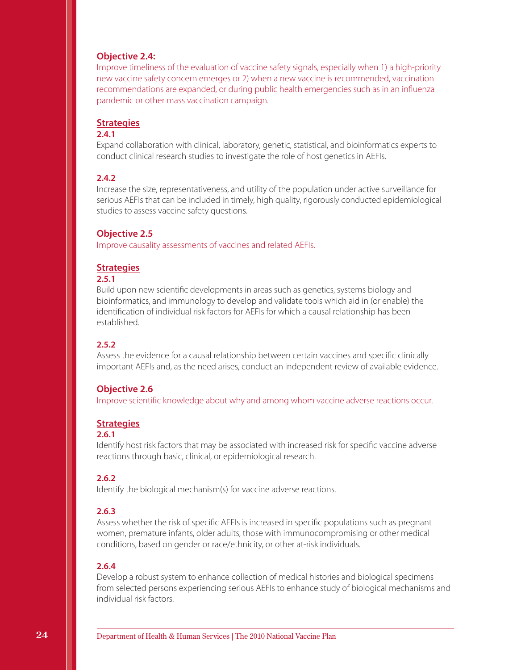#### **Objective 2.4:**

Improve timeliness of the evaluation of vaccine safety signals, especially when 1) a high-priority new vaccine safety concern emerges or 2) when a new vaccine is recommended, vaccination recommendations are expanded, or during public health emergencies such as in an influenza pandemic or other mass vaccination campaign.

# **Strategies**

#### **2.4.1**

Expand collaboration with clinical, laboratory, genetic, statistical, and bioinformatics experts to conduct clinical research studies to investigate the role of host genetics in AEFIs.

#### **2.4.2**

Increase the size, representativeness, and utility of the population under active surveillance for serious AEFIs that can be included in timely, high quality, rigorously conducted epidemiological studies to assess vaccine safety questions.

#### **Objective 2.5**

Improve causality assessments of vaccines and related AEFIs.

#### **Strategies**

# **2.5.1**

Build upon new scientific developments in areas such as genetics, systems biology and bioinformatics, and immunology to develop and validate tools which aid in (or enable) the identification of individual risk factors for AEFIs for which a causal relationship has been established.

#### **2.5.2**

Assess the evidence for a causal relationship between certain vaccines and specific clinically important AEFIs and, as the need arises, conduct an independent review of available evidence.

#### **Objective 2.6**

Improve scientific knowledge about why and among whom vaccine adverse reactions occur.

# **Strategies**

#### **2.6.1**

Identify host risk factors that may be associated with increased risk for specific vaccine adverse reactions through basic, clinical, or epidemiological research.

#### **2.6.2**

Identify the biological mechanism(s) for vaccine adverse reactions.

#### **2.6.3**

Assess whether the risk of specific AEFIs is increased in specific populations such as pregnant women, premature infants, older adults, those with immunocompromising or other medical conditions, based on gender or race/ethnicity, or other at-risk individuals.

#### **2.6.4**

Develop a robust system to enhance collection of medical histories and biological specimens from selected persons experiencing serious AEFIs to enhance study of biological mechanisms and individual risk factors.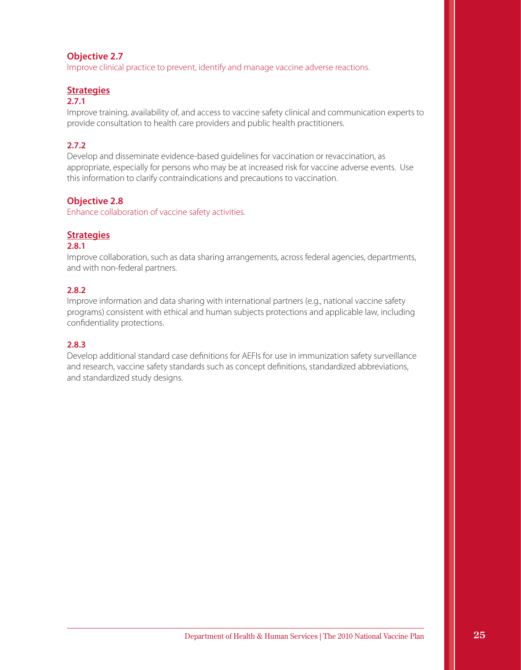# **Objective 2.7**

Improve clinical practice to prevent, identify and manage vaccine adverse reactions.

# **Strategies**

# **2.7.1**

Improve training, availability of, and access to vaccine safety clinical and communication experts to provide consultation to health care providers and public health practitioners.

# **2.7.2**

Develop and disseminate evidence-based guidelines for vaccination or revaccination, as appropriate, especially for persons who may be at increased risk for vaccine adverse events. Use this information to clarify contraindications and precautions to vaccination.

# **Objective 2.8**

Enhance collaboration of vaccine safety activities.

# **Strategies**

#### **2.8.1**

Improve collaboration, such as data sharing arrangements, across federal agencies, departments, and with non-federal partners.

# **2.8.2**

Improve information and data sharing with international partners (e.g., national vaccine safety programs) consistent with ethical and human subjects protections and applicable law, including confidentiality protections.

#### **2.8.3**

Develop additional standard case definitions for AEFIs for use in immunization safety surveillance and research, vaccine safety standards such as concept definitions, standardized abbreviations, and standardized study designs.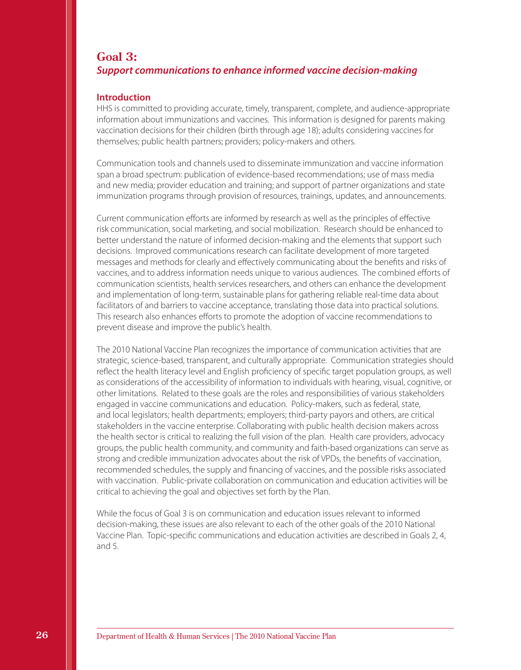# **Goal 3:** *Support communications to enhance informed vaccine decision-making*

#### **Introduction**

HHS is committed to providing accurate, timely, transparent, complete, and audience-appropriate information about immunizations and vaccines. This information is designed for parents making vaccination decisions for their children (birth through age 18); adults considering vaccines for themselves; public health partners; providers; policy-makers and others.

Communication tools and channels used to disseminate immunization and vaccine information span a broad spectrum: publication of evidence-based recommendations; use of mass media and new media; provider education and training; and support of partner organizations and state immunization programs through provision of resources, trainings, updates, and announcements.

Current communication efforts are informed by research as well as the principles of effective risk communication, social marketing, and social mobilization. Research should be enhanced to better understand the nature of informed decision-making and the elements that support such decisions. Improved communications research can facilitate development of more targeted messages and methods for clearly and effectively communicating about the benefits and risks of vaccines, and to address information needs unique to various audiences. The combined efforts of communication scientists, health services researchers, and others can enhance the development and implementation of long-term, sustainable plans for gathering reliable real-time data about facilitators of and barriers to vaccine acceptance, translating those data into practical solutions. This research also enhances efforts to promote the adoption of vaccine recommendations to prevent disease and improve the public's health.

The 2010 National Vaccine Plan recognizes the importance of communication activities that are strategic, science-based, transparent, and culturally appropriate. Communication strategies should reflect the health literacy level and English proficiency of specific target population groups, as well as considerations of the accessibility of information to individuals with hearing, visual, cognitive, or other limitations. Related to these goals are the roles and responsibilities of various stakeholders engaged in vaccine communications and education. Policy-makers, such as federal, state, and local legislators; health departments; employers; third-party payors and others, are critical stakeholders in the vaccine enterprise. Collaborating with public health decision makers across the health sector is critical to realizing the full vision of the plan. Health care providers, advocacy groups, the public health community, and community and faith-based organizations can serve as strong and credible immunization advocates about the risk of VPDs, the benefits of vaccination, recommended schedules, the supply and financing of vaccines, and the possible risks associated with vaccination. Public-private collaboration on communication and education activities will be critical to achieving the goal and objectives set forth by the Plan.

While the focus of Goal 3 is on communication and education issues relevant to informed decision-making, these issues are also relevant to each of the other goals of the 2010 National Vaccine Plan. Topic-specific communications and education activities are described in Goals 2, 4, and 5.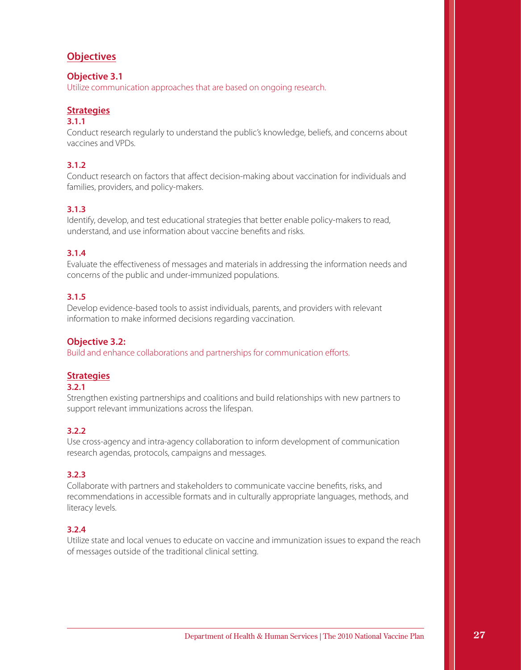# **Objectives**

# **Objective 3.1**

Utilize communication approaches that are based on ongoing research.

# **Strategies**

# **3.1.1**

Conduct research regularly to understand the public's knowledge, beliefs, and concerns about vaccines and VPDs.

# **3.1.2**

Conduct research on factors that affect decision-making about vaccination for individuals and families, providers, and policy-makers.

# **3.1.3**

Identify, develop, and test educational strategies that better enable policy-makers to read, understand, and use information about vaccine benefits and risks.

# **3.1.4**

Evaluate the effectiveness of messages and materials in addressing the information needs and concerns of the public and under-immunized populations.

# **3.1.5**

Develop evidence-based tools to assist individuals, parents, and providers with relevant information to make informed decisions regarding vaccination.

# **Objective 3.2:**

Build and enhance collaborations and partnerships for communication efforts.

# **Strategies**

#### **3.2.1**

Strengthen existing partnerships and coalitions and build relationships with new partners to support relevant immunizations across the lifespan.

# **3.2.2**

Use cross-agency and intra-agency collaboration to inform development of communication research agendas, protocols, campaigns and messages.

# **3.2.3**

Collaborate with partners and stakeholders to communicate vaccine benefits, risks, and recommendations in accessible formats and in culturally appropriate languages, methods, and literacy levels.

# **3.2.4**

Utilize state and local venues to educate on vaccine and immunization issues to expand the reach of messages outside of the traditional clinical setting.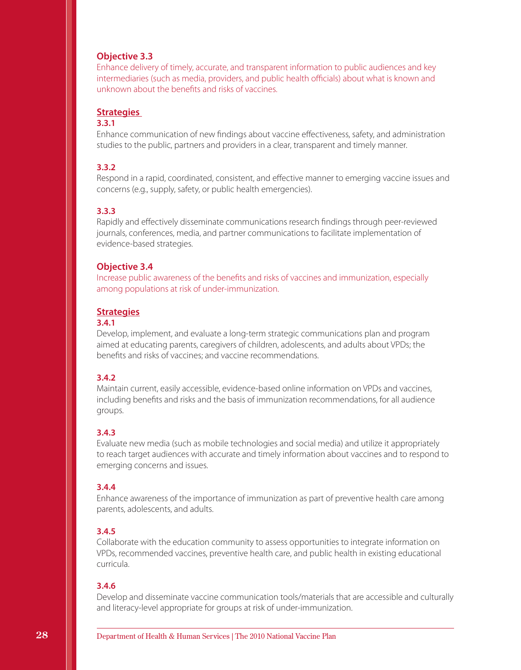# **Objective 3.3**

Enhance delivery of timely, accurate, and transparent information to public audiences and key intermediaries (such as media, providers, and public health officials) about what is known and unknown about the benefits and risks of vaccines.

#### **Strategies**

#### **3.3.1**

Enhance communication of new findings about vaccine effectiveness, safety, and administration studies to the public, partners and providers in a clear, transparent and timely manner.

# **3.3.2**

Respond in a rapid, coordinated, consistent, and effective manner to emerging vaccine issues and concerns (e.g., supply, safety, or public health emergencies).

#### **3.3.3**

Rapidly and effectively disseminate communications research findings through peer-reviewed journals, conferences, media, and partner communications to facilitate implementation of evidence-based strategies.

#### **Objective 3.4**

Increase public awareness of the benefits and risks of vaccines and immunization, especially among populations at risk of under-immunization.

# **Strategies**

#### **3.4.1**

Develop, implement, and evaluate a long-term strategic communications plan and program aimed at educating parents, caregivers of children, adolescents, and adults about VPDs; the benefits and risks of vaccines; and vaccine recommendations.

#### **3.4.2**

Maintain current, easily accessible, evidence-based online information on VPDs and vaccines, including benefits and risks and the basis of immunization recommendations, for all audience groups.

#### **3.4.3**

Evaluate new media (such as mobile technologies and social media) and utilize it appropriately to reach target audiences with accurate and timely information about vaccines and to respond to emerging concerns and issues.

#### **3.4.4**

Enhance awareness of the importance of immunization as part of preventive health care among parents, adolescents, and adults.

#### **3.4.5**

Collaborate with the education community to assess opportunities to integrate information on VPDs, recommended vaccines, preventive health care, and public health in existing educational curricula.

#### **3.4.6**

Develop and disseminate vaccine communication tools/materials that are accessible and culturally and literacy-level appropriate for groups at risk of under-immunization.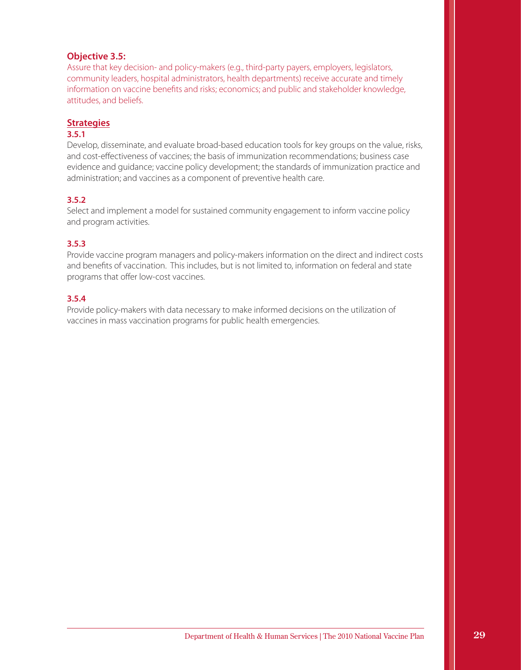# **Objective 3.5:**

Assure that key decision- and policy-makers (e.g., third-party payers, employers, legislators, community leaders, hospital administrators, health departments) receive accurate and timely information on vaccine benefits and risks; economics; and public and stakeholder knowledge, attitudes, and beliefs.

# **Strategies**

#### **3.5.1**

Develop, disseminate, and evaluate broad-based education tools for key groups on the value, risks, and cost-effectiveness of vaccines; the basis of immunization recommendations; business case evidence and guidance; vaccine policy development; the standards of immunization practice and administration; and vaccines as a component of preventive health care.

# **3.5.2**

Select and implement a model for sustained community engagement to inform vaccine policy and program activities.

# **3.5.3**

Provide vaccine program managers and policy-makers information on the direct and indirect costs and benefits of vaccination. This includes, but is not limited to, information on federal and state programs that offer low-cost vaccines.

# **3.5.4**

Provide policy-makers with data necessary to make informed decisions on the utilization of vaccines in mass vaccination programs for public health emergencies.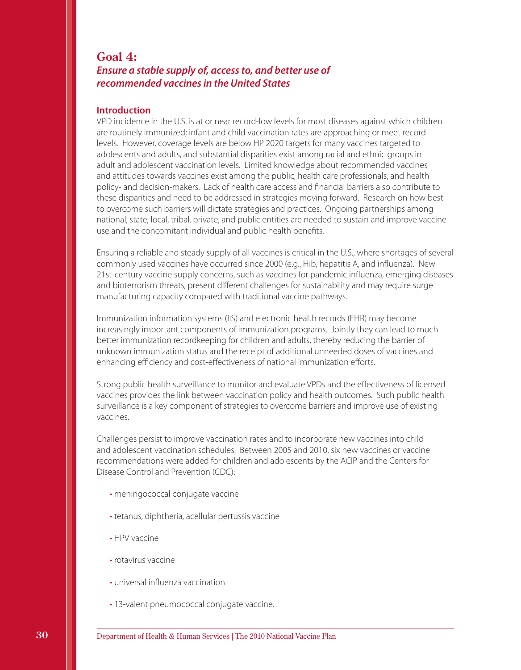# **Goal 4:** *Ensure a stable supply of, access to, and better use of recommended vaccines in the United States*

#### **Introduction**

VPD incidence in the U.S. is at or near record-low levels for most diseases against which children are routinely immunized; infant and child vaccination rates are approaching or meet record levels. However, coverage levels are below HP 2020 targets for many vaccines targeted to adolescents and adults, and substantial disparities exist among racial and ethnic groups in adult and adolescent vaccination levels. Limited knowledge about recommended vaccines and attitudes towards vaccines exist among the public, health care professionals, and health policy- and decision-makers. Lack of health care access and financial barriers also contribute to these disparities and need to be addressed in strategies moving forward. Research on how best to overcome such barriers will dictate strategies and practices. Ongoing partnerships among national, state, local, tribal, private, and public entities are needed to sustain and improve vaccine use and the concomitant individual and public health benefits.

Ensuring a reliable and steady supply of all vaccines is critical in the U.S., where shortages of several commonly used vaccines have occurred since 2000 (e.g., Hib, hepatitis A, and influenza). New 21st-century vaccine supply concerns, such as vaccines for pandemic influenza, emerging diseases and bioterrorism threats, present different challenges for sustainability and may require surge manufacturing capacity compared with traditional vaccine pathways.

Immunization information systems (IIS) and electronic health records (EHR) may become increasingly important components of immunization programs. Jointly they can lead to much better immunization recordkeeping for children and adults, thereby reducing the barrier of unknown immunization status and the receipt of additional unneeded doses of vaccines and enhancing efficiency and cost-effectiveness of national immunization efforts.

Strong public health surveillance to monitor and evaluate VPDs and the effectiveness of licensed vaccines provides the link between vaccination policy and health outcomes. Such public health surveillance is a key component of strategies to overcome barriers and improve use of existing vaccines.

Challenges persist to improve vaccination rates and to incorporate new vaccines into child and adolescent vaccination schedules. Between 2005 and 2010, six new vaccines or vaccine recommendations were added for children and adolescents by the ACIP and the Centers for Disease Control and Prevention (CDC):

- meningococcal conjugate vaccine
- tetanus, diphtheria, acellular pertussis vaccine
- HPV vaccine
- rotavirus vaccine
- universal influenza vaccination
- 13-valent pneumococcal conjugate vaccine.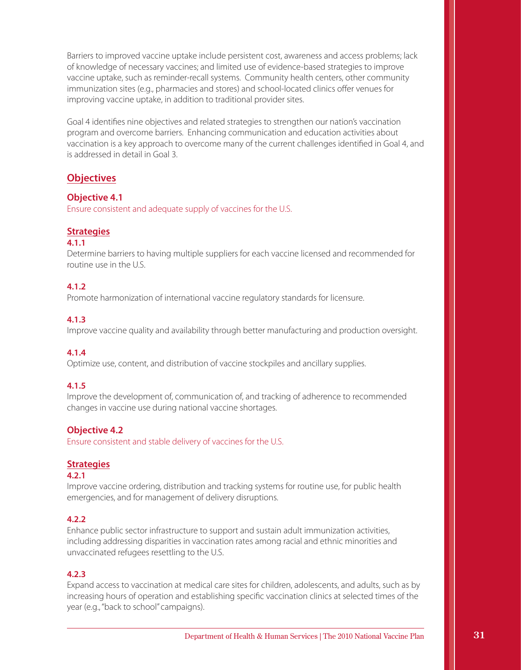Barriers to improved vaccine uptake include persistent cost, awareness and access problems; lack of knowledge of necessary vaccines; and limited use of evidence-based strategies to improve vaccine uptake, such as reminder-recall systems. Community health centers, other community immunization sites (e.g., pharmacies and stores) and school-located clinics offer venues for improving vaccine uptake, in addition to traditional provider sites.

Goal 4 identifies nine objectives and related strategies to strengthen our nation's vaccination program and overcome barriers. Enhancing communication and education activities about vaccination is a key approach to overcome many of the current challenges identified in Goal 4, and is addressed in detail in Goal 3.

# **Objectives**

# **Objective 4.1**

Ensure consistent and adequate supply of vaccines for the U.S.

# **Strategies**

#### **4.1.1**

Determine barriers to having multiple suppliers for each vaccine licensed and recommended for routine use in the U.S.

# **4.1.2**

Promote harmonization of international vaccine regulatory standards for licensure.

# **4.1.3**

Improve vaccine quality and availability through better manufacturing and production oversight.

# **4.1.4**

Optimize use, content, and distribution of vaccine stockpiles and ancillary supplies.

# **4.1.5**

Improve the development of, communication of, and tracking of adherence to recommended changes in vaccine use during national vaccine shortages.

# **Objective 4.2**

Ensure consistent and stable delivery of vaccines for the U.S.

# **Strategies**

#### **4.2.1**

Improve vaccine ordering, distribution and tracking systems for routine use, for public health emergencies, and for management of delivery disruptions.

#### **4.2.2**

Enhance public sector infrastructure to support and sustain adult immunization activities, including addressing disparities in vaccination rates among racial and ethnic minorities and unvaccinated refugees resettling to the U.S.

#### **4.2.3**

Expand access to vaccination at medical care sites for children, adolescents, and adults, such as by increasing hours of operation and establishing specific vaccination clinics at selected times of the year (e.g.,"back to school" campaigns).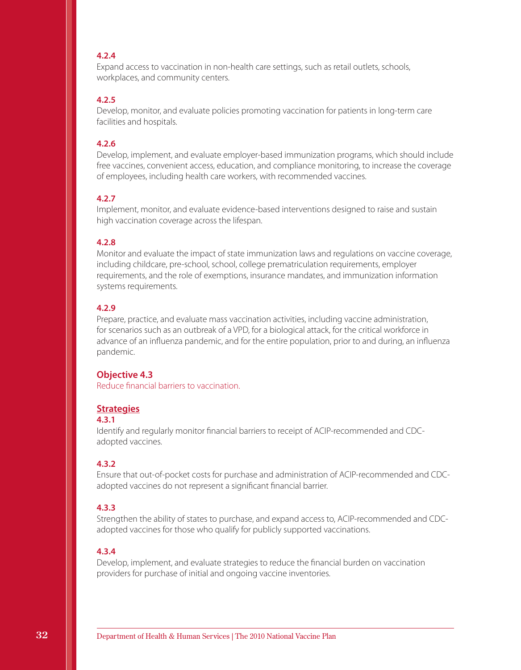# **4.2.4**

Expand access to vaccination in non-health care settings, such as retail outlets, schools, workplaces, and community centers.

# **4.2.5**

Develop, monitor, and evaluate policies promoting vaccination for patients in long-term care facilities and hospitals.

#### **4.2.6**

Develop, implement, and evaluate employer-based immunization programs, which should include free vaccines, convenient access, education, and compliance monitoring, to increase the coverage of employees, including health care workers, with recommended vaccines.

#### **4.2.7**

Implement, monitor, and evaluate evidence-based interventions designed to raise and sustain high vaccination coverage across the lifespan.

# **4.2.8**

Monitor and evaluate the impact of state immunization laws and regulations on vaccine coverage, including childcare, pre-school, school, college prematriculation requirements, employer requirements, and the role of exemptions, insurance mandates, and immunization information systems requirements.

#### **4.2.9**

Prepare, practice, and evaluate mass vaccination activities, including vaccine administration, for scenarios such as an outbreak of a VPD, for a biological attack, for the critical workforce in advance of an influenza pandemic, and for the entire population, prior to and during, an influenza pandemic.

#### **Objective 4.3**

Reduce financial barriers to vaccination.

#### **Strategies**

#### **4.3.1**

Identify and regularly monitor financial barriers to receipt of ACIP-recommended and CDCadopted vaccines.

#### **4.3.2**

Ensure that out-of-pocket costs for purchase and administration of ACIP-recommended and CDCadopted vaccines do not represent a significant financial barrier.

# **4.3.3**

Strengthen the ability of states to purchase, and expand access to, ACIP-recommended and CDCadopted vaccines for those who qualify for publicly supported vaccinations.

#### **4.3.4**

Develop, implement, and evaluate strategies to reduce the financial burden on vaccination providers for purchase of initial and ongoing vaccine inventories.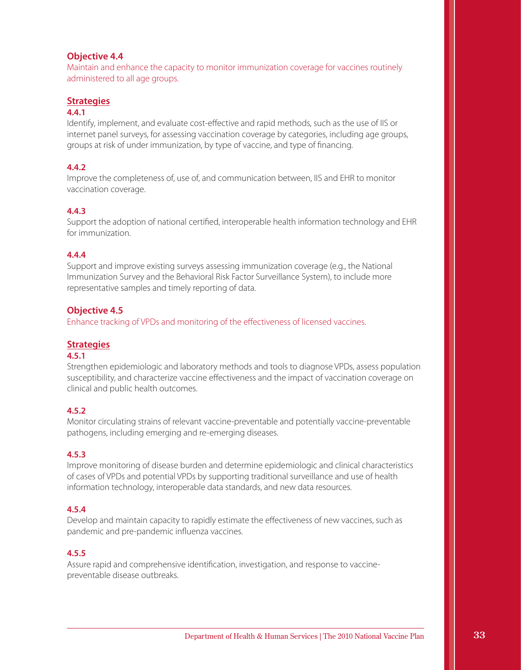# **Objective 4.4**

Maintain and enhance the capacity to monitor immunization coverage for vaccines routinely administered to all age groups.

# **Strategies**

#### **4.4.1**

Identify, implement, and evaluate cost-effective and rapid methods, such as the use of IIS or internet panel surveys, for assessing vaccination coverage by categories, including age groups, groups at risk of under immunization, by type of vaccine, and type of financing.

# **4.4.2**

Improve the completeness of, use of, and communication between, IIS and EHR to monitor vaccination coverage.

# **4.4.3**

Support the adoption of national certified, interoperable health information technology and EHR for immunization.

# **4.4.4**

Support and improve existing surveys assessing immunization coverage (e.g., the National Immunization Survey and the Behavioral Risk Factor Surveillance System), to include more representative samples and timely reporting of data.

# **Objective 4.5**

Enhance tracking of VPDs and monitoring of the effectiveness of licensed vaccines.

# **Strategies**

#### **4.5.1**

Strengthen epidemiologic and laboratory methods and tools to diagnose VPDs, assess population susceptibility, and characterize vaccine effectiveness and the impact of vaccination coverage on clinical and public health outcomes.

# **4.5.2**

Monitor circulating strains of relevant vaccine-preventable and potentially vaccine-preventable pathogens, including emerging and re-emerging diseases.

#### **4.5.3**

Improve monitoring of disease burden and determine epidemiologic and clinical characteristics of cases of VPDs and potential VPDs by supporting traditional surveillance and use of health information technology, interoperable data standards, and new data resources.

#### **4.5.4**

Develop and maintain capacity to rapidly estimate the effectiveness of new vaccines, such as pandemic and pre-pandemic influenza vaccines.

# **4.5.5**

Assure rapid and comprehensive identification, investigation, and response to vaccinepreventable disease outbreaks.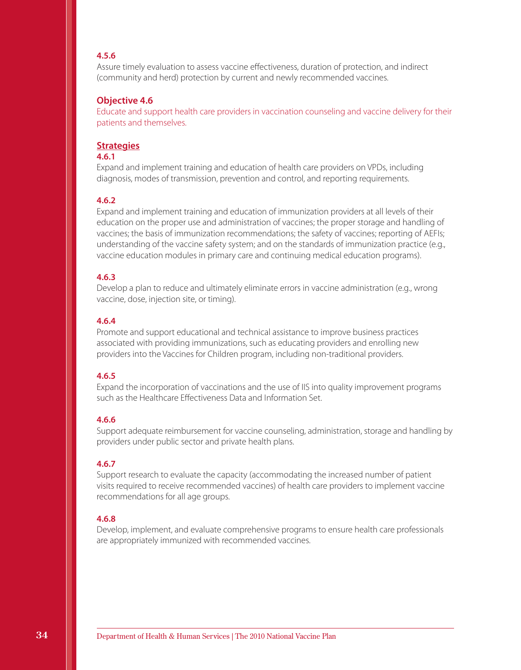#### **4.5.6**

Assure timely evaluation to assess vaccine effectiveness, duration of protection, and indirect (community and herd) protection by current and newly recommended vaccines.

#### **Objective 4.6**

Educate and support health care providers in vaccination counseling and vaccine delivery for their patients and themselves.

# **Strategies**

#### **4.6.1**

Expand and implement training and education of health care providers on VPDs, including diagnosis, modes of transmission, prevention and control, and reporting requirements.

#### **4.6.2**

Expand and implement training and education of immunization providers at all levels of their education on the proper use and administration of vaccines; the proper storage and handling of vaccines; the basis of immunization recommendations; the safety of vaccines; reporting of AEFIs; understanding of the vaccine safety system; and on the standards of immunization practice (e.g., vaccine education modules in primary care and continuing medical education programs).

#### **4.6.3**

Develop a plan to reduce and ultimately eliminate errors in vaccine administration (e.g., wrong vaccine, dose, injection site, or timing).

#### **4.6.4**

Promote and support educational and technical assistance to improve business practices associated with providing immunizations, such as educating providers and enrolling new providers into the Vaccines for Children program, including non-traditional providers.

#### **4.6.5**

Expand the incorporation of vaccinations and the use of IIS into quality improvement programs such as the Healthcare Effectiveness Data and Information Set.

#### **4.6.6**

Support adequate reimbursement for vaccine counseling, administration, storage and handling by providers under public sector and private health plans.

#### **4.6.7**

Support research to evaluate the capacity (accommodating the increased number of patient visits required to receive recommended vaccines) of health care providers to implement vaccine recommendations for all age groups.

#### **4.6.8**

Develop, implement, and evaluate comprehensive programs to ensure health care professionals are appropriately immunized with recommended vaccines.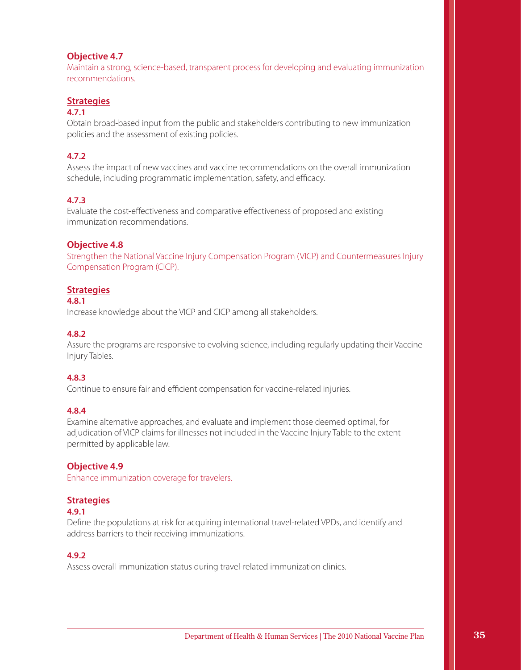# **Objective 4.7**

Maintain a strong, science-based, transparent process for developing and evaluating immunization recommendations.

# **Strategies**

# **4.7.1**

Obtain broad-based input from the public and stakeholders contributing to new immunization policies and the assessment of existing policies.

# **4.7.2**

Assess the impact of new vaccines and vaccine recommendations on the overall immunization schedule, including programmatic implementation, safety, and efficacy.

# **4.7.3**

Evaluate the cost-effectiveness and comparative effectiveness of proposed and existing immunization recommendations.

# **Objective 4.8**

Strengthen the National Vaccine Injury Compensation Program (VICP) and Countermeasures Injury Compensation Program (CICP).

#### **Strategies**

#### **4.8.1**

Increase knowledge about the VICP and CICP among all stakeholders.

#### **4.8.2**

Assure the programs are responsive to evolving science, including regularly updating their Vaccine Injury Tables.

# **4.8.3**

Continue to ensure fair and efficient compensation for vaccine-related injuries.

#### **4.8.4**

Examine alternative approaches, and evaluate and implement those deemed optimal, for adjudication of VICP claims for illnesses not included in the Vaccine Injury Table to the extent permitted by applicable law.

# **Objective 4.9**

Enhance immunization coverage for travelers.

#### **Strategies**

#### **4.9.1**

Define the populations at risk for acquiring international travel-related VPDs, and identify and address barriers to their receiving immunizations.

# **4.9.2**

Assess overall immunization status during travel-related immunization clinics.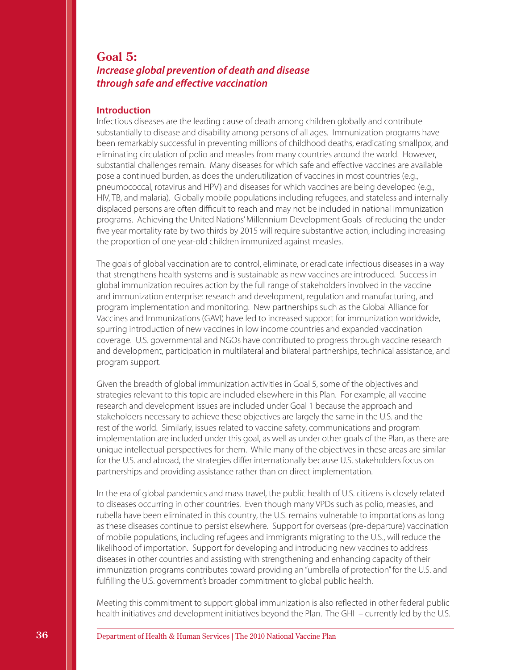# **Goal 5:**  *Increase global prevention of death and disease through safe and effective vaccination*

#### **Introduction**

Infectious diseases are the leading cause of death among children globally and contribute substantially to disease and disability among persons of all ages. Immunization programs have been remarkably successful in preventing millions of childhood deaths, eradicating smallpox, and eliminating circulation of polio and measles from many countries around the world. However, substantial challenges remain. Many diseases for which safe and effective vaccines are available pose a continued burden, as does the underutilization of vaccines in most countries (e.g., pneumococcal, rotavirus and HPV) and diseases for which vaccines are being developed (e.g., HIV, TB, and malaria). Globally mobile populations including refugees, and stateless and internally displaced persons are often difficult to reach and may not be included in national immunization programs. Achieving the United Nations'Millennium Development Goals of reducing the underfive year mortality rate by two thirds by 2015 will require substantive action, including increasing the proportion of one year-old children immunized against measles.

The goals of global vaccination are to control, eliminate, or eradicate infectious diseases in a way that strengthens health systems and is sustainable as new vaccines are introduced. Success in global immunization requires action by the full range of stakeholders involved in the vaccine and immunization enterprise: research and development, regulation and manufacturing, and program implementation and monitoring. New partnerships such as the Global Alliance for Vaccines and Immunizations (GAVI) have led to increased support for immunization worldwide, spurring introduction of new vaccines in low income countries and expanded vaccination coverage. U.S. governmental and NGOs have contributed to progress through vaccine research and development, participation in multilateral and bilateral partnerships, technical assistance, and program support.

Given the breadth of global immunization activities in Goal 5, some of the objectives and strategies relevant to this topic are included elsewhere in this Plan. For example, all vaccine research and development issues are included under Goal 1 because the approach and stakeholders necessary to achieve these objectives are largely the same in the U.S. and the rest of the world. Similarly, issues related to vaccine safety, communications and program implementation are included under this goal, as well as under other goals of the Plan, as there are unique intellectual perspectives for them. While many of the objectives in these areas are similar for the U.S. and abroad, the strategies differ internationally because U.S. stakeholders focus on partnerships and providing assistance rather than on direct implementation.

In the era of global pandemics and mass travel, the public health of U.S. citizens is closely related to diseases occurring in other countries. Even though many VPDs such as polio, measles, and rubella have been eliminated in this country, the U.S. remains vulnerable to importations as long as these diseases continue to persist elsewhere. Support for overseas (pre-departure) vaccination of mobile populations, including refugees and immigrants migrating to the U.S., will reduce the likelihood of importation. Support for developing and introducing new vaccines to address diseases in other countries and assisting with strengthening and enhancing capacity of their immunization programs contributes toward providing an"umbrella of protection"for the U.S. and fulfilling the U.S. government's broader commitment to global public health.

Meeting this commitment to support global immunization is also reflected in other federal public health initiatives and development initiatives beyond the Plan. The GHI – currently led by the U.S.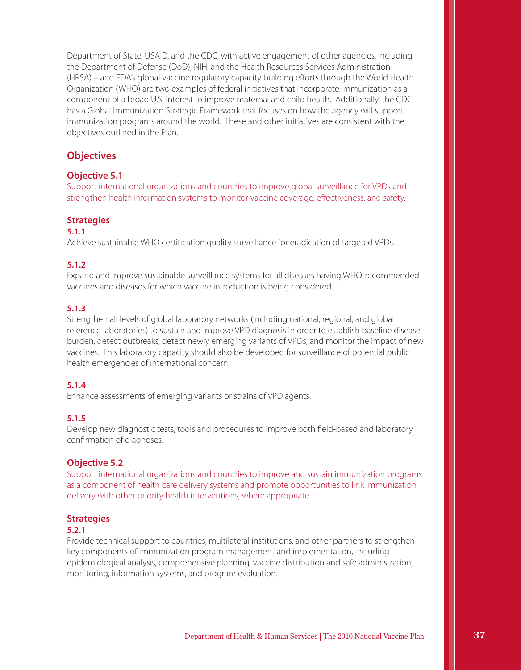Department of State, USAID, and the CDC, with active engagement of other agencies, including the Department of Defense (DoD), NIH, and the Health Resources Services Administration (HRSA) – and FDA's global vaccine regulatory capacity building efforts through the World Health Organization (WHO) are two examples of federal initiatives that incorporate immunization as a component of a broad U.S. interest to improve maternal and child health. Additionally, the CDC has a Global Immunization Strategic Framework that focuses on how the agency will support immunization programs around the world. These and other initiatives are consistent with the objectives outlined in the Plan.

# **Objectives**

# **Objective 5.1**

Support international organizations and countries to improve global surveillance for VPDs and strengthen health information systems to monitor vaccine coverage, effectiveness, and safety.

# **Strategies**

#### **5.1.1**

Achieve sustainable WHO certification quality surveillance for eradication of targeted VPDs.

# **5.1.2**

Expand and improve sustainable surveillance systems for all diseases having WHO-recommended vaccines and diseases for which vaccine introduction is being considered.

# **5.1.3**

Strengthen all levels of global laboratory networks (including national, regional, and global reference laboratories) to sustain and improve VPD diagnosis in order to establish baseline disease burden, detect outbreaks, detect newly emerging variants of VPDs, and monitor the impact of new vaccines. This laboratory capacity should also be developed for surveillance of potential public health emergencies of international concern.

# **5.1.4**

Enhance assessments of emerging variants or strains of VPD agents.

# **5.1.5**

Develop new diagnostic tests, tools and procedures to improve both field-based and laboratory confirmation of diagnoses.

# **Objective 5.2**

Support international organizations and countries to improve and sustain immunization programs as a component of health care delivery systems and promote opportunities to link immunization delivery with other priority health interventions, where appropriate.

# **Strategies**

#### **5.2.1**

Provide technical support to countries, multilateral institutions, and other partners to strengthen key components of immunization program management and implementation, including epidemiological analysis, comprehensive planning, vaccine distribution and safe administration, monitoring, information systems, and program evaluation.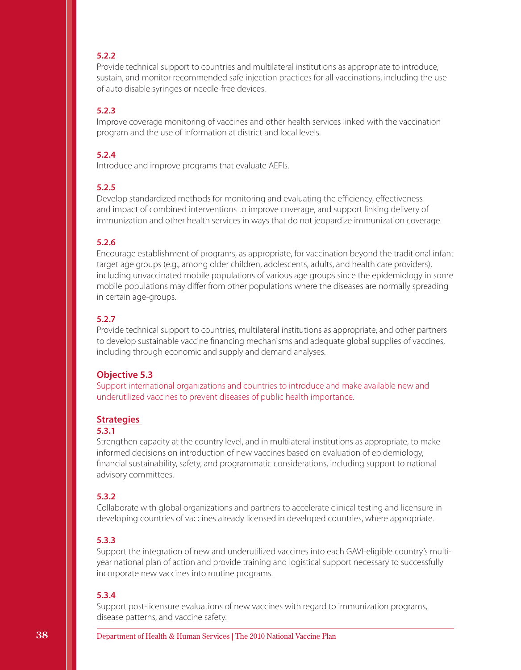# **5.2.2**

Provide technical support to countries and multilateral institutions as appropriate to introduce, sustain, and monitor recommended safe injection practices for all vaccinations, including the use of auto disable syringes or needle-free devices.

# **5.2.3**

Improve coverage monitoring of vaccines and other health services linked with the vaccination program and the use of information at district and local levels.

# **5.2.4**

Introduce and improve programs that evaluate AEFIs.

# **5.2.5**

Develop standardized methods for monitoring and evaluating the efficiency, effectiveness and impact of combined interventions to improve coverage, and support linking delivery of immunization and other health services in ways that do not jeopardize immunization coverage.

# **5.2.6**

Encourage establishment of programs, as appropriate, for vaccination beyond the traditional infant target age groups (e.g., among older children, adolescents, adults, and health care providers), including unvaccinated mobile populations of various age groups since the epidemiology in some mobile populations may differ from other populations where the diseases are normally spreading in certain age-groups.

# **5.2.7**

Provide technical support to countries, multilateral institutions as appropriate, and other partners to develop sustainable vaccine financing mechanisms and adequate global supplies of vaccines, including through economic and supply and demand analyses.

# **Objective 5.3**

Support international organizations and countries to introduce and make available new and underutilized vaccines to prevent diseases of public health importance.

#### **Strategies**

#### **5.3.1**

Strengthen capacity at the country level, and in multilateral institutions as appropriate, to make informed decisions on introduction of new vaccines based on evaluation of epidemiology, financial sustainability, safety, and programmatic considerations, including support to national advisory committees.

# **5.3.2**

Collaborate with global organizations and partners to accelerate clinical testing and licensure in developing countries of vaccines already licensed in developed countries, where appropriate.

# **5.3.3**

Support the integration of new and underutilized vaccines into each GAVI-eligible country's multiyear national plan of action and provide training and logistical support necessary to successfully incorporate new vaccines into routine programs.

#### **5.3.4**

Support post-licensure evaluations of new vaccines with regard to immunization programs, disease patterns, and vaccine safety.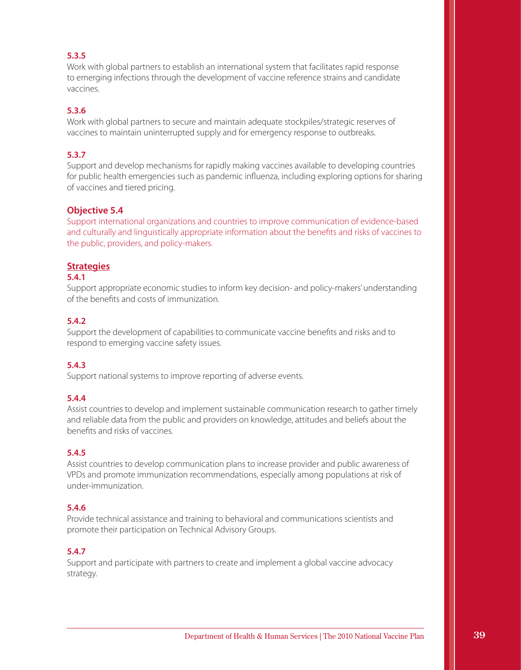# **5.3.5**

Work with global partners to establish an international system that facilitates rapid response to emerging infections through the development of vaccine reference strains and candidate vaccines.

# **5.3.6**

Work with global partners to secure and maintain adequate stockpiles/strategic reserves of vaccines to maintain uninterrupted supply and for emergency response to outbreaks.

# **5.3.7**

Support and develop mechanisms for rapidly making vaccines available to developing countries for public health emergencies such as pandemic influenza, including exploring options for sharing of vaccines and tiered pricing.

# **Objective 5.4**

Support international organizations and countries to improve communication of evidence-based and culturally and linguistically appropriate information about the benefits and risks of vaccines to the public, providers, and policy-makers.

# **Strategies**

#### **5.4.1**

Support appropriate economic studies to inform key decision- and policy-makers'understanding of the benefits and costs of immunization.

# **5.4.2**

Support the development of capabilities to communicate vaccine benefits and risks and to respond to emerging vaccine safety issues.

# **5.4.3**

Support national systems to improve reporting of adverse events.

# **5.4.4**

Assist countries to develop and implement sustainable communication research to gather timely and reliable data from the public and providers on knowledge, attitudes and beliefs about the benefits and risks of vaccines.

#### **5.4.5**

Assist countries to develop communication plans to increase provider and public awareness of VPDs and promote immunization recommendations, especially among populations at risk of under-immunization.

# **5.4.6**

Provide technical assistance and training to behavioral and communications scientists and promote their participation on Technical Advisory Groups.

#### **5.4.7**

Support and participate with partners to create and implement a global vaccine advocacy strategy.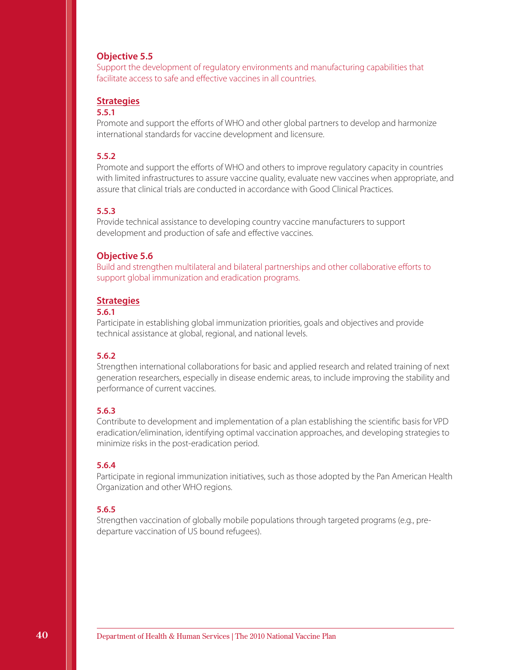#### **Objective 5.5**

Support the development of regulatory environments and manufacturing capabilities that facilitate access to safe and effective vaccines in all countries.

# **Strategies**

# **5.5.1**

Promote and support the efforts of WHO and other global partners to develop and harmonize international standards for vaccine development and licensure.

#### **5.5.2**

Promote and support the efforts of WHO and others to improve regulatory capacity in countries with limited infrastructures to assure vaccine quality, evaluate new vaccines when appropriate, and assure that clinical trials are conducted in accordance with Good Clinical Practices.

#### **5.5.3**

Provide technical assistance to developing country vaccine manufacturers to support development and production of safe and effective vaccines.

#### **Objective 5.6**

Build and strengthen multilateral and bilateral partnerships and other collaborative efforts to support global immunization and eradication programs.

# **Strategies**

# **5.6.1**

Participate in establishing global immunization priorities, goals and objectives and provide technical assistance at global, regional, and national levels.

#### **5.6.2**

Strengthen international collaborations for basic and applied research and related training of next generation researchers, especially in disease endemic areas, to include improving the stability and performance of current vaccines.

#### **5.6.3**

Contribute to development and implementation of a plan establishing the scientific basis for VPD eradication/elimination, identifying optimal vaccination approaches, and developing strategies to minimize risks in the post-eradication period.

#### **5.6.4**

Participate in regional immunization initiatives, such as those adopted by the Pan American Health Organization and other WHO regions.

#### **5.6.5**

Strengthen vaccination of globally mobile populations through targeted programs (e.g., predeparture vaccination of US bound refugees).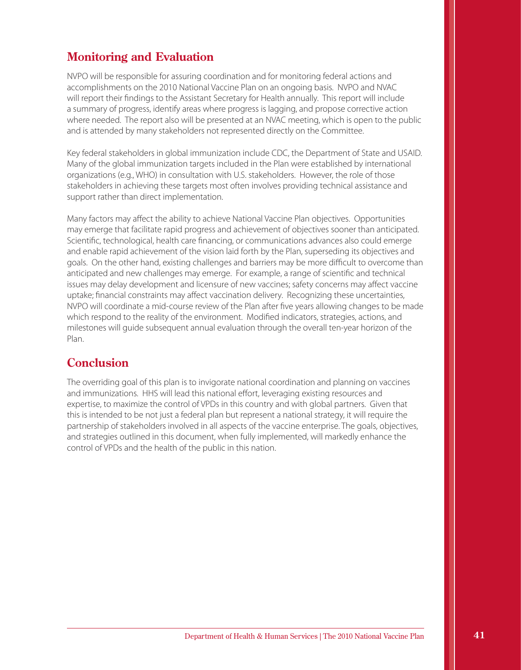# **Monitoring and Evaluation**

NVPO will be responsible for assuring coordination and for monitoring federal actions and accomplishments on the 2010 National Vaccine Plan on an ongoing basis. NVPO and NVAC will report their findings to the Assistant Secretary for Health annually. This report will include a summary of progress, identify areas where progress is lagging, and propose corrective action where needed. The report also will be presented at an NVAC meeting, which is open to the public and is attended by many stakeholders not represented directly on the Committee.

Key federal stakeholders in global immunization include CDC, the Department of State and USAID. Many of the global immunization targets included in the Plan were established by international organizations (e.g., WHO) in consultation with U.S. stakeholders. However, the role of those stakeholders in achieving these targets most often involves providing technical assistance and support rather than direct implementation.

Many factors may affect the ability to achieve National Vaccine Plan objectives. Opportunities may emerge that facilitate rapid progress and achievement of objectives sooner than anticipated. Scientific, technological, health care financing, or communications advances also could emerge and enable rapid achievement of the vision laid forth by the Plan, superseding its objectives and goals. On the other hand, existing challenges and barriers may be more difficult to overcome than anticipated and new challenges may emerge. For example, a range of scientific and technical issues may delay development and licensure of new vaccines; safety concerns may affect vaccine uptake; financial constraints may affect vaccination delivery. Recognizing these uncertainties, NVPO will coordinate a mid-course review of the Plan after five years allowing changes to be made which respond to the reality of the environment. Modified indicators, strategies, actions, and milestones will guide subsequent annual evaluation through the overall ten-year horizon of the Plan.

# **Conclusion**

The overriding goal of this plan is to invigorate national coordination and planning on vaccines and immunizations. HHS will lead this national effort, leveraging existing resources and expertise, to maximize the control of VPDs in this country and with global partners. Given that this is intended to be not just a federal plan but represent a national strategy, it will require the partnership of stakeholders involved in all aspects of the vaccine enterprise. The goals, objectives, and strategies outlined in this document, when fully implemented, will markedly enhance the control of VPDs and the health of the public in this nation.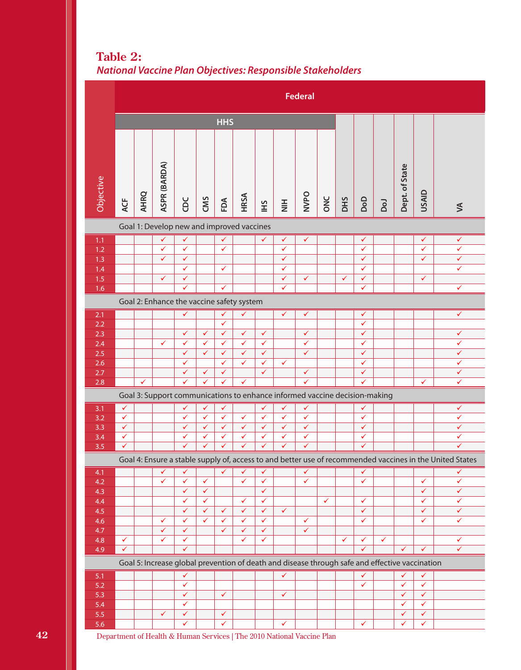**Table 2:**  *National Vaccine Plan Objectives: Responsible Stakeholders*

|                |                       |                                                                                                |                              |                              |                              |                              |                              |                              |                                 | Federal      |                              |              |              |                              |              |                                   |                              |                                                                                                          |  |
|----------------|-----------------------|------------------------------------------------------------------------------------------------|------------------------------|------------------------------|------------------------------|------------------------------|------------------------------|------------------------------|---------------------------------|--------------|------------------------------|--------------|--------------|------------------------------|--------------|-----------------------------------|------------------------------|----------------------------------------------------------------------------------------------------------|--|
|                |                       |                                                                                                |                              |                              |                              | <b>HHS</b>                   |                              |                              |                                 |              |                              |              |              |                              |              |                                   |                              |                                                                                                          |  |
| Objective      | ACF                   | AHRQ                                                                                           | ASPR (BARDA)                 | CDC                          | CMS                          | FDA                          | HRSA                         | $\widetilde{\Xi}$            | $\frac{\texttt{I}}{\texttt{Z}}$ |              | NVPO                         | ONC          | <b>DHS</b>   | DoD                          | Lod          | <b>State</b><br>$\sigma$<br>Dept. | USAID                        | $\lesssim$                                                                                               |  |
|                |                       | Goal 1: Develop new and improved vaccines                                                      |                              |                              |                              |                              |                              |                              |                                 |              |                              |              |              |                              |              |                                   |                              |                                                                                                          |  |
| 1.1            |                       |                                                                                                | $\checkmark$                 | $\checkmark$                 |                              | $\checkmark$                 |                              |                              | $\checkmark$<br>$\checkmark$    |              | $\checkmark$                 |              |              | $\checkmark$                 |              |                                   | $\checkmark$                 | $\checkmark$                                                                                             |  |
| 1.2            |                       |                                                                                                | $\checkmark$<br>$\checkmark$ | $\checkmark$<br>$\checkmark$ |                              | $\checkmark$                 |                              |                              | $\checkmark$<br>$\checkmark$    |              |                              |              |              | $\checkmark$<br>$\checkmark$ |              |                                   | $\checkmark$<br>$\checkmark$ | $\checkmark$<br>$\checkmark$                                                                             |  |
| 1.3<br>1.4     |                       |                                                                                                |                              | $\checkmark$                 |                              | $\checkmark$                 |                              |                              | $\checkmark$                    |              |                              |              |              | $\checkmark$                 |              |                                   |                              | $\checkmark$                                                                                             |  |
| 1.5            |                       |                                                                                                | $\checkmark$                 | $\checkmark$                 |                              |                              |                              |                              | $\checkmark$                    |              | $\checkmark$                 |              | $\checkmark$ | $\checkmark$                 |              |                                   | $\checkmark$                 |                                                                                                          |  |
| 1.6            |                       |                                                                                                |                              | $\checkmark$                 |                              | $\checkmark$                 |                              |                              | $\checkmark$                    |              |                              |              |              | $\checkmark$                 |              |                                   |                              |                                                                                                          |  |
|                |                       | Goal 2: Enhance the vaccine safety system                                                      |                              |                              |                              |                              |                              |                              |                                 |              |                              |              |              |                              |              |                                   |                              |                                                                                                          |  |
| 2.1            |                       |                                                                                                |                              | $\checkmark$                 |                              | $\checkmark$                 | $\checkmark$                 |                              |                                 | $\checkmark$ | $\checkmark$                 |              |              | $\checkmark$                 |              |                                   |                              | $\checkmark$                                                                                             |  |
| 2.2            |                       |                                                                                                |                              |                              |                              | $\checkmark$                 |                              |                              |                                 |              |                              |              |              | $\checkmark$                 |              |                                   |                              |                                                                                                          |  |
| 2.3<br>2.4     |                       |                                                                                                | $\checkmark$                 | $\checkmark$<br>$\checkmark$ | $\checkmark$<br>$\checkmark$ | $\checkmark$<br>$\checkmark$ | $\checkmark$<br>$\checkmark$ | $\checkmark$<br>$\checkmark$ |                                 |              | $\checkmark$<br>$\checkmark$ |              |              | $\checkmark$<br>$\checkmark$ |              |                                   |                              |                                                                                                          |  |
| 2.5            |                       |                                                                                                |                              | $\checkmark$                 | $\checkmark$                 | $\checkmark$                 | $\checkmark$                 | $\checkmark$                 |                                 |              | $\checkmark$                 |              |              | $\checkmark$                 |              |                                   |                              | $\checkmark$                                                                                             |  |
| 2.6            |                       |                                                                                                |                              | $\checkmark$                 |                              | $\checkmark$                 | $\checkmark$                 | $\checkmark$                 | $\checkmark$                    |              |                              |              |              | $\checkmark$                 |              |                                   |                              |                                                                                                          |  |
| 2.7            |                       |                                                                                                |                              | $\checkmark$                 | $\checkmark$                 | $\checkmark$                 |                              | $\checkmark$                 |                                 |              | $\checkmark$                 |              |              | $\checkmark$                 |              |                                   |                              | $\checkmark$                                                                                             |  |
| 2.8            |                       | $\checkmark$                                                                                   |                              | $\checkmark$                 | $\checkmark$                 | $\checkmark$                 | $\checkmark$                 |                              |                                 |              | $\checkmark$                 |              |              | $\checkmark$                 |              |                                   | $\checkmark$                 |                                                                                                          |  |
|                |                       | Goal 3: Support communications to enhance informed vaccine decision-making                     |                              |                              |                              |                              |                              |                              |                                 |              |                              |              |              |                              |              |                                   |                              |                                                                                                          |  |
| 3.1            | $\checkmark$          |                                                                                                |                              | $\checkmark$                 | $\checkmark$                 | $\checkmark$                 |                              | $\checkmark$                 | $\checkmark$                    |              | $\checkmark$                 |              |              | $\checkmark$                 |              |                                   |                              | $\checkmark$                                                                                             |  |
| 3.2            | $\checkmark$          |                                                                                                |                              | $\checkmark$                 | $\checkmark$                 | $\checkmark$                 | $\checkmark$                 | $\checkmark$                 | $\checkmark$                    |              | $\checkmark$                 |              |              | $\checkmark$                 |              |                                   |                              | $\checkmark$                                                                                             |  |
| 3.3            | $\checkmark$          |                                                                                                |                              | $\checkmark$                 | $\checkmark$                 | $\checkmark$                 | $\checkmark$                 | $\checkmark$                 | $\checkmark$                    |              | $\checkmark$                 |              |              | $\checkmark$                 |              |                                   |                              |                                                                                                          |  |
| $3.4$          | $\checkmark$          |                                                                                                |                              | $\checkmark$                 | $\checkmark$                 | $\checkmark$                 | $\checkmark$                 | $\checkmark$                 | $\checkmark$                    |              | $\checkmark$                 |              |              | $\checkmark$                 |              |                                   |                              |                                                                                                          |  |
| 3.5            | $\checkmark$          |                                                                                                |                              | $\checkmark$                 |                              |                              |                              | ✓                            | $\checkmark$                    |              | ✓                            |              |              | $\checkmark$                 |              |                                   |                              |                                                                                                          |  |
|                |                       |                                                                                                |                              |                              |                              |                              |                              |                              |                                 |              |                              |              |              |                              |              |                                   |                              | Goal 4: Ensure a stable supply of, access to and better use of recommended vaccines in the United States |  |
| 4.1            |                       |                                                                                                | $\checkmark$                 | $\checkmark$                 |                              | $\checkmark$                 | $\checkmark$                 | $\checkmark$                 |                                 |              | $\checkmark$                 |              |              | $\checkmark$                 |              |                                   |                              | $\checkmark$                                                                                             |  |
| 4.2            |                       |                                                                                                | $\checkmark$                 | $\checkmark$<br>$\checkmark$ | $\checkmark$<br>$\checkmark$ |                              | $\checkmark$                 | $\checkmark$<br>$\checkmark$ |                                 |              | $\checkmark$                 |              |              | $\checkmark$                 |              |                                   | $\checkmark$<br>$\checkmark$ | ✓                                                                                                        |  |
| 4.3<br>$4.4\,$ |                       |                                                                                                |                              | $\checkmark$                 | $\checkmark$                 |                              | $\checkmark$                 | $\checkmark$                 |                                 |              |                              | $\checkmark$ |              | $\checkmark$                 |              |                                   | $\checkmark$                 | $\checkmark$                                                                                             |  |
| 4.5            |                       |                                                                                                |                              | $\checkmark$                 | $\checkmark$                 | $\checkmark$                 | $\checkmark$                 |                              | $\checkmark$<br>$\checkmark$    |              |                              |              |              | $\checkmark$                 |              |                                   | $\checkmark$                 | $\checkmark$                                                                                             |  |
| 4.6            |                       |                                                                                                | $\checkmark$                 | $\checkmark$                 | $\checkmark$                 | $\checkmark$                 | $\checkmark$                 | $\checkmark$                 |                                 |              | $\checkmark$                 |              |              | $\checkmark$                 |              |                                   | $\checkmark$                 |                                                                                                          |  |
| 4.7            |                       |                                                                                                | $\checkmark$                 | $\checkmark$                 |                              | $\checkmark$                 | $\checkmark$                 | $\checkmark$                 |                                 |              | $\checkmark$                 |              |              |                              |              |                                   |                              |                                                                                                          |  |
| 4.8            | $\checkmark$          |                                                                                                | $\checkmark$                 | $\checkmark$                 |                              |                              | $\checkmark$                 | $\checkmark$                 |                                 |              |                              |              | $\checkmark$ | $\checkmark$                 | $\checkmark$ |                                   |                              | $\checkmark$                                                                                             |  |
| 4.9            | $\overline{\sqrt{2}}$ |                                                                                                |                              | $\checkmark$                 |                              |                              |                              |                              |                                 |              |                              |              |              | $\checkmark$                 |              | $\checkmark$                      | $\checkmark$                 | $\checkmark$                                                                                             |  |
|                |                       | Goal 5: Increase global prevention of death and disease through safe and effective vaccination |                              |                              |                              |                              |                              |                              |                                 |              |                              |              |              |                              |              |                                   |                              |                                                                                                          |  |
| 5.1            |                       |                                                                                                |                              | $\checkmark$                 |                              |                              |                              |                              | $\checkmark$                    |              |                              |              |              | $\checkmark$                 |              | $\checkmark$                      | $\checkmark$                 |                                                                                                          |  |
| $5.2$          |                       |                                                                                                |                              | $\checkmark$                 |                              |                              |                              |                              |                                 |              |                              |              |              | $\checkmark$                 |              | $\checkmark$                      | $\checkmark$                 |                                                                                                          |  |
|                |                       |                                                                                                |                              | $\checkmark$                 |                              | $\checkmark$                 |                              |                              | $\checkmark$                    |              |                              |              |              |                              |              | $\checkmark$                      | $\checkmark$                 |                                                                                                          |  |
| 5.3            |                       |                                                                                                |                              |                              |                              |                              |                              |                              |                                 |              |                              |              |              |                              |              | $\checkmark$                      | $\checkmark$                 |                                                                                                          |  |
| $5.4\,$        |                       |                                                                                                |                              | $\checkmark$                 |                              |                              |                              |                              |                                 |              |                              |              |              |                              |              |                                   |                              |                                                                                                          |  |
| 5.5<br>5.6     |                       |                                                                                                | $\checkmark$                 | $\checkmark$<br>$\checkmark$ |                              | $\checkmark$<br>$\checkmark$ |                              |                              | $\checkmark$                    |              |                              |              |              | $\checkmark$                 |              | $\checkmark$<br>$\checkmark$      | $\checkmark$<br>$\checkmark$ |                                                                                                          |  |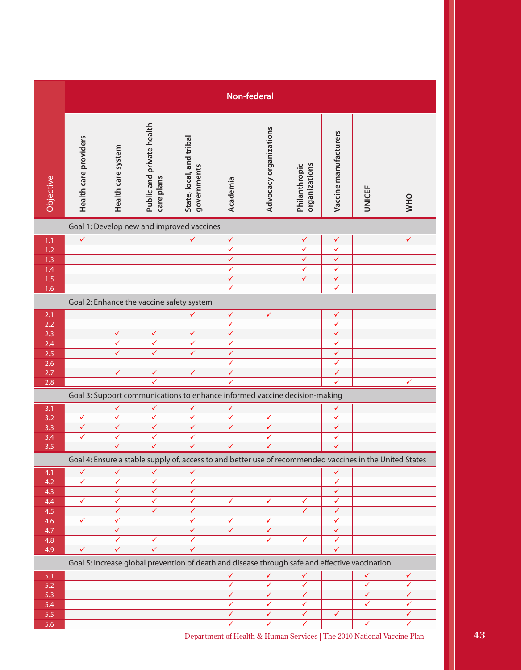|            | <b>Non-federal</b>       |                    |                                                                                                          |                                         |                              |                              |                                       |                       |               |                                                              |
|------------|--------------------------|--------------------|----------------------------------------------------------------------------------------------------------|-----------------------------------------|------------------------------|------------------------------|---------------------------------------|-----------------------|---------------|--------------------------------------------------------------|
| Objective  | providers<br>Health care | Health care system | Public and private health<br>care plans                                                                  | State, local, and tribal<br>governments | Academia                     | organizations<br>Advocacy    | <b>Philanthropic</b><br>organizations | Vaccine manufacturers | <b>UNICEF</b> | <b>OHM</b>                                                   |
|            |                          |                    | Goal 1: Develop new and improved vaccines                                                                |                                         |                              |                              |                                       |                       |               |                                                              |
| 1.1        | $\checkmark$             |                    |                                                                                                          | $\checkmark$                            | $\checkmark$                 |                              | $\checkmark$                          | $\checkmark$          |               | $\checkmark$                                                 |
| 1.2        |                          |                    |                                                                                                          |                                         | $\checkmark$                 |                              | $\checkmark$                          | $\checkmark$          |               |                                                              |
| 1.3        |                          |                    |                                                                                                          |                                         | $\checkmark$                 |                              | $\checkmark$                          | $\checkmark$          |               |                                                              |
| 1.4        |                          |                    |                                                                                                          |                                         | $\checkmark$                 |                              | $\checkmark$                          | $\checkmark$          |               |                                                              |
| 1.5        |                          |                    |                                                                                                          |                                         | $\checkmark$                 |                              | $\checkmark$                          | $\checkmark$          |               |                                                              |
| 1.6        |                          |                    |                                                                                                          |                                         | $\checkmark$                 |                              |                                       | $\checkmark$          |               |                                                              |
|            |                          |                    | Goal 2: Enhance the vaccine safety system                                                                |                                         |                              |                              |                                       |                       |               |                                                              |
| 2.1        |                          |                    |                                                                                                          | $\checkmark$                            | $\checkmark$                 | $\checkmark$                 |                                       | $\checkmark$          |               |                                                              |
| 2.2        |                          |                    |                                                                                                          |                                         | $\checkmark$                 |                              |                                       | $\checkmark$          |               |                                                              |
| 2.3        |                          | $\checkmark$       | $\checkmark$                                                                                             | $\checkmark$                            | $\checkmark$                 |                              |                                       | $\checkmark$          |               |                                                              |
| 2.4        |                          | $\checkmark$       | $\checkmark$                                                                                             | $\checkmark$                            | $\checkmark$                 |                              |                                       | $\checkmark$          |               |                                                              |
| 2.5        |                          | $\checkmark$       | $\checkmark$                                                                                             | $\checkmark$                            | $\checkmark$                 |                              |                                       | $\checkmark$          |               |                                                              |
| 2.6        |                          |                    |                                                                                                          |                                         | $\checkmark$                 |                              |                                       | $\checkmark$          |               |                                                              |
| 2.7        |                          | $\checkmark$       | $\checkmark$                                                                                             | $\checkmark$                            | $\checkmark$                 |                              |                                       | $\checkmark$          |               |                                                              |
| 2.8        |                          |                    | $\checkmark$                                                                                             |                                         | $\checkmark$                 |                              |                                       | $\checkmark$          |               | $\checkmark$                                                 |
|            |                          |                    | Goal 3: Support communications to enhance informed vaccine decision-making                               |                                         |                              |                              |                                       |                       |               |                                                              |
| 3.1        |                          | $\checkmark$       | $\checkmark$                                                                                             | $\checkmark$                            | $\checkmark$                 |                              |                                       | $\checkmark$          |               |                                                              |
| 3.2        | $\checkmark$             | $\checkmark$       | $\checkmark$                                                                                             | $\checkmark$                            | $\checkmark$                 | $\checkmark$                 |                                       | $\checkmark$          |               |                                                              |
| 3.3        | $\checkmark$             | $\checkmark$       | $\checkmark$                                                                                             | $\checkmark$                            | $\checkmark$                 | $\checkmark$                 |                                       | $\checkmark$          |               |                                                              |
| 3.4        | $\checkmark$             | $\checkmark$       | $\checkmark$                                                                                             | $\checkmark$                            |                              | $\checkmark$                 |                                       | $\checkmark$          |               |                                                              |
| 3.5        |                          | $\checkmark$       | $\checkmark$                                                                                             | $\checkmark$                            | $\checkmark$                 | $\checkmark$                 |                                       | $\checkmark$          |               |                                                              |
|            |                          |                    | Goal 4: Ensure a stable supply of, access to and better use of recommended vaccines in the United States |                                         |                              |                              |                                       |                       |               |                                                              |
|            | $\checkmark$             | $\checkmark$       | $\checkmark$                                                                                             | $\checkmark$                            |                              |                              |                                       | $\checkmark$          |               |                                                              |
| 4.1        |                          |                    |                                                                                                          |                                         |                              |                              |                                       | $\checkmark$          |               |                                                              |
| 4.2        | $\checkmark$             | $\checkmark$       | $\checkmark$                                                                                             | $\checkmark$                            |                              |                              |                                       |                       |               |                                                              |
| 4.3        |                          | $\checkmark$       | $\checkmark$                                                                                             | $\checkmark$                            |                              |                              |                                       | $\checkmark$          |               |                                                              |
| 4.4        | $\checkmark$             | $\checkmark$       | $\checkmark$                                                                                             | $\checkmark$                            | $\checkmark$                 | $\checkmark$                 | $\checkmark$                          | $\checkmark$          |               |                                                              |
| 4.5        |                          | $\checkmark$       | $\checkmark$                                                                                             | $\checkmark$                            |                              |                              | $\checkmark$                          | $\checkmark$          |               |                                                              |
| 4.6        | $\checkmark$             | $\checkmark$       |                                                                                                          | $\checkmark$                            | $\checkmark$                 | $\checkmark$                 |                                       | $\checkmark$          |               |                                                              |
| 4.7        |                          | $\checkmark$       |                                                                                                          | $\checkmark$                            | $\checkmark$                 | $\checkmark$                 |                                       | $\checkmark$          |               |                                                              |
|            |                          | $\checkmark$       | $\checkmark$                                                                                             | $\checkmark$                            |                              | $\checkmark$                 | $\checkmark$                          | $\checkmark$          |               |                                                              |
| 4.8<br>4.9 | $\checkmark$             | $\checkmark$       | $\checkmark$                                                                                             | $\checkmark$                            |                              |                              |                                       | $\checkmark$          |               |                                                              |
|            |                          |                    | Goal 5: Increase global prevention of death and disease through safe and effective vaccination           |                                         |                              |                              |                                       |                       |               |                                                              |
| 5.1        |                          |                    |                                                                                                          |                                         | $\checkmark$                 | $\checkmark$                 | $\checkmark$                          |                       | $\checkmark$  |                                                              |
| 5.2        |                          |                    |                                                                                                          |                                         | $\checkmark$                 | $\checkmark$                 | $\checkmark$                          |                       | $\checkmark$  |                                                              |
| 5.3        |                          |                    |                                                                                                          |                                         | $\checkmark$                 | $\checkmark$                 | $\checkmark$                          |                       | $\checkmark$  |                                                              |
| 5.4        |                          |                    |                                                                                                          |                                         | $\checkmark$                 | $\checkmark$                 | $\checkmark$                          |                       | $\checkmark$  | $\checkmark$<br>$\checkmark$<br>$\checkmark$<br>$\checkmark$ |
| 5.5<br>5.6 |                          |                    |                                                                                                          |                                         | $\checkmark$<br>$\checkmark$ | $\checkmark$<br>$\checkmark$ | $\checkmark$<br>$\checkmark$          | $\checkmark$          | $\checkmark$  | $\checkmark$<br>$\checkmark$                                 |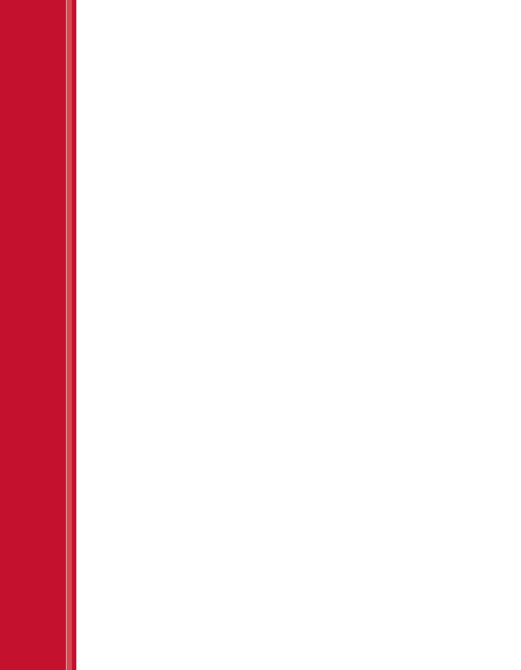